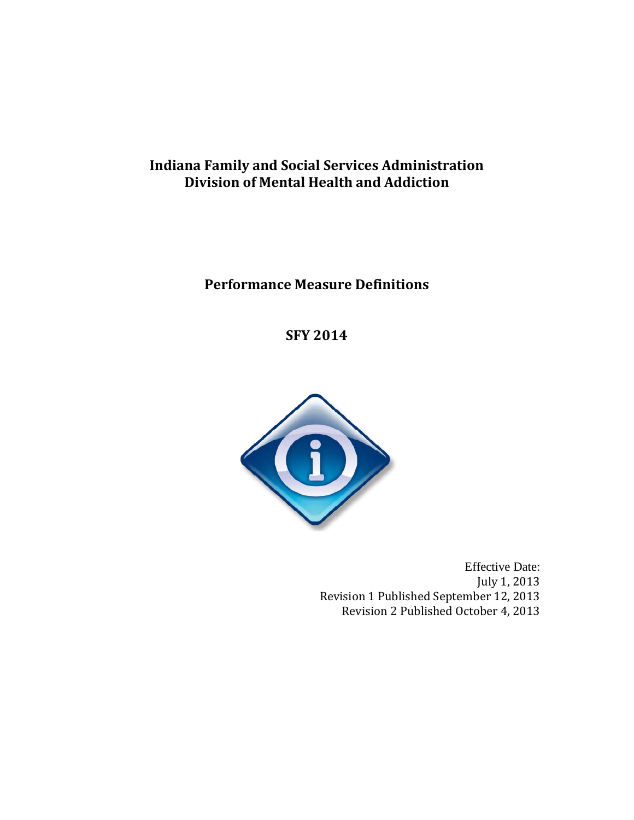# **Indiana Family and Social Services Administration Division of Mental Health and Addiction**

# **Performance Measure Definitions**

**SFY 2014**



Effective Date: July 1, 2013 Revision 1 Published September 12, 2013 Revision 2 Published October 4, 2013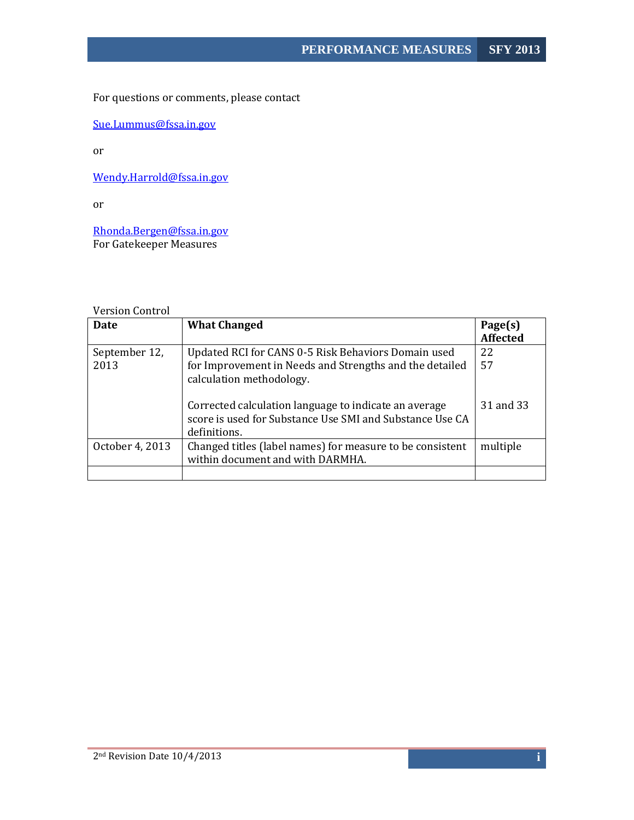For questions or comments, please contact

[Sue.Lummus@fssa.in.gov](mailto:Sue.Lummus@fssa.in.gov)

or

[Wendy.Harrold@fssa.in.gov](mailto:Wendy.Harrold@fssa.in.gov)

or

Rhonda.Bergen@fssa.in.gov For Gatekeeper Measures

## Version Control

| <b>Date</b>           | <b>What Changed</b>                                                                                                                        | Page(s)<br><b>Affected</b> |
|-----------------------|--------------------------------------------------------------------------------------------------------------------------------------------|----------------------------|
| September 12,<br>2013 | Updated RCI for CANS 0-5 Risk Behaviors Domain used<br>for Improvement in Needs and Strengths and the detailed<br>calculation methodology. | 22<br>57                   |
|                       | Corrected calculation language to indicate an average<br>score is used for Substance Use SMI and Substance Use CA<br>definitions.          | 31 and 33                  |
| October 4, 2013       | Changed titles (label names) for measure to be consistent<br>within document and with DARMHA.                                              | multiple                   |
|                       |                                                                                                                                            |                            |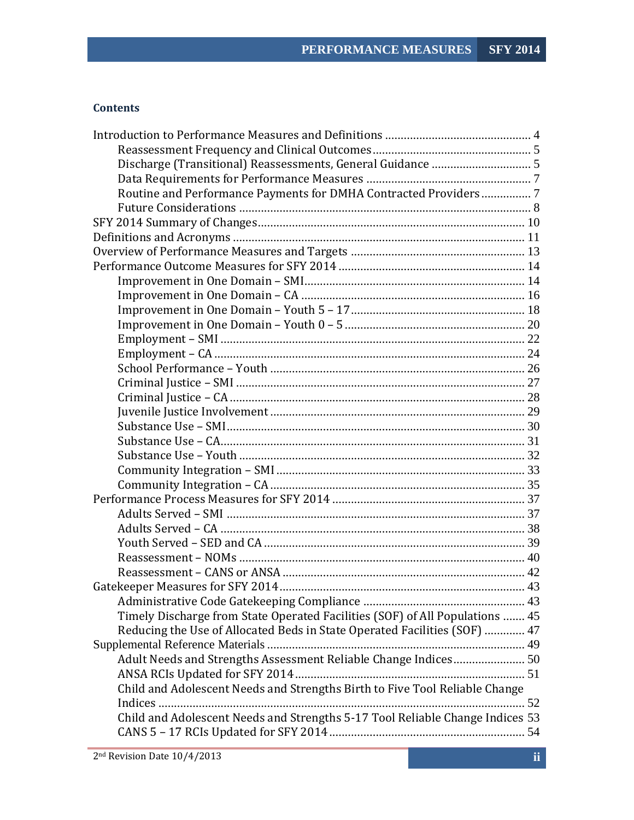# **Contents**

| Routine and Performance Payments for DMHA Contracted Providers7               |  |
|-------------------------------------------------------------------------------|--|
|                                                                               |  |
|                                                                               |  |
|                                                                               |  |
|                                                                               |  |
|                                                                               |  |
|                                                                               |  |
|                                                                               |  |
|                                                                               |  |
|                                                                               |  |
|                                                                               |  |
|                                                                               |  |
|                                                                               |  |
|                                                                               |  |
|                                                                               |  |
|                                                                               |  |
|                                                                               |  |
|                                                                               |  |
|                                                                               |  |
|                                                                               |  |
|                                                                               |  |
|                                                                               |  |
|                                                                               |  |
|                                                                               |  |
|                                                                               |  |
|                                                                               |  |
|                                                                               |  |
|                                                                               |  |
|                                                                               |  |
| Timely Discharge from State Operated Facilities (SOF) of All Populations  45  |  |
| Reducing the Use of Allocated Beds in State Operated Facilities (SOF)  47     |  |
|                                                                               |  |
| Adult Needs and Strengths Assessment Reliable Change Indices 50               |  |
|                                                                               |  |
| Child and Adolescent Needs and Strengths Birth to Five Tool Reliable Change   |  |
|                                                                               |  |
| Child and Adolescent Needs and Strengths 5-17 Tool Reliable Change Indices 53 |  |
|                                                                               |  |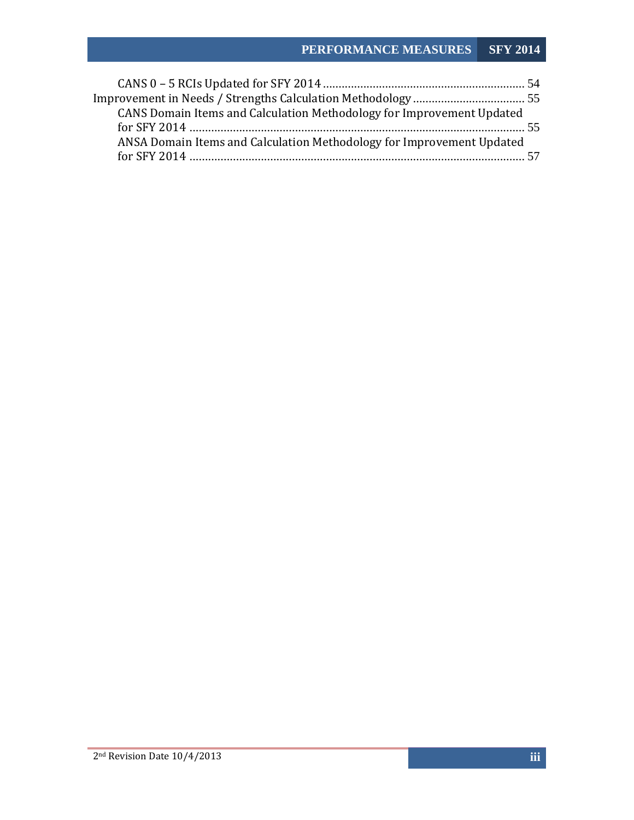# **PERFORMANCE MEASURES SFY 2014**

| CANS Domain Items and Calculation Methodology for Improvement Updated |  |
|-----------------------------------------------------------------------|--|
|                                                                       |  |
| ANSA Domain Items and Calculation Methodology for Improvement Updated |  |
|                                                                       |  |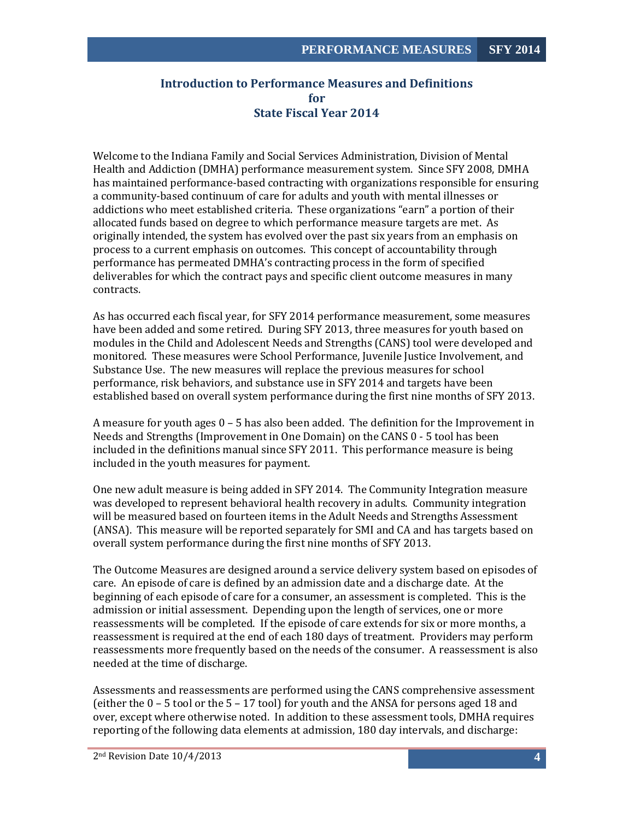# <span id="page-4-0"></span>**Introduction to Performance Measures and Definitions for State Fiscal Year 2014**

Welcome to the Indiana Family and Social Services Administration, Division of Mental Health and Addiction (DMHA) performance measurement system. Since SFY 2008, DMHA has maintained performance-based contracting with organizations responsible for ensuring a community-based continuum of care for adults and youth with mental illnesses or addictions who meet established criteria. These organizations "earn" a portion of their allocated funds based on degree to which performance measure targets are met. As originally intended, the system has evolved over the past six years from an emphasis on process to a current emphasis on outcomes. This concept of accountability through performance has permeated DMHA's contracting process in the form of specified deliverables for which the contract pays and specific client outcome measures in many contracts.

As has occurred each fiscal year, for SFY 2014 performance measurement, some measures have been added and some retired. During SFY 2013, three measures for youth based on modules in the Child and Adolescent Needs and Strengths (CANS) tool were developed and monitored. These measures were School Performance, Juvenile Justice Involvement, and Substance Use. The new measures will replace the previous measures for school performance, risk behaviors, and substance use in SFY 2014 and targets have been established based on overall system performance during the first nine months of SFY 2013.

A measure for youth ages 0 – 5 has also been added. The definition for the Improvement in Needs and Strengths (Improvement in One Domain) on the CANS 0 - 5 tool has been included in the definitions manual since SFY 2011. This performance measure is being included in the youth measures for payment.

One new adult measure is being added in SFY 2014. The Community Integration measure was developed to represent behavioral health recovery in adults. Community integration will be measured based on fourteen items in the Adult Needs and Strengths Assessment (ANSA). This measure will be reported separately for SMI and CA and has targets based on overall system performance during the first nine months of SFY 2013.

The Outcome Measures are designed around a service delivery system based on episodes of care. An episode of care is defined by an admission date and a discharge date. At the beginning of each episode of care for a consumer, an assessment is completed. This is the admission or initial assessment. Depending upon the length of services, one or more reassessments will be completed. If the episode of care extends for six or more months, a reassessment is required at the end of each 180 days of treatment. Providers may perform reassessments more frequently based on the needs of the consumer. A reassessment is also needed at the time of discharge.

Assessments and reassessments are performed using the CANS comprehensive assessment (either the  $0 - 5$  tool or the  $5 - 17$  tool) for youth and the ANSA for persons aged 18 and over, except where otherwise noted. In addition to these assessment tools, DMHA requires reporting of the following data elements at admission, 180 day intervals, and discharge: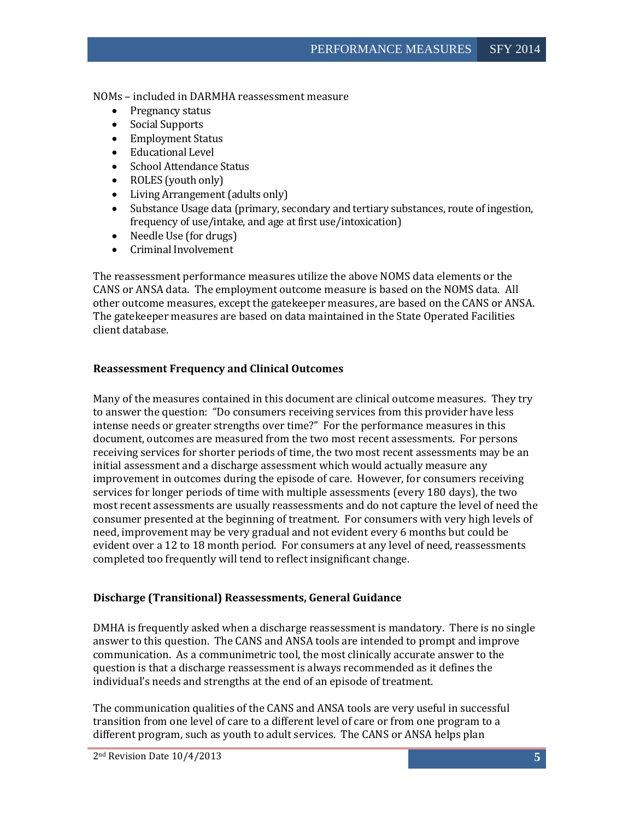NOMs – included in DARMHA reassessment measure

- Pregnancy status
- Social Supports
- Employment Status
- Educational Level
- School Attendance Status
- ROLES (youth only)
- Living Arrangement (adults only)
- Substance Usage data (primary, secondary and tertiary substances, route of ingestion, frequency of use/intake, and age at first use/intoxication)
- Needle Use (for drugs)
- Criminal Involvement

The reassessment performance measures utilize the above NOMS data elements or the CANS or ANSA data. The employment outcome measure is based on the NOMS data. All other outcome measures, except the gatekeeper measures, are based on the CANS or ANSA. The gatekeeper measures are based on data maintained in the State Operated Facilities client database.

#### <span id="page-5-0"></span>**Reassessment Frequency and Clinical Outcomes**

Many of the measures contained in this document are clinical outcome measures. They try to answer the question: "Do consumers receiving services from this provider have less intense needs or greater strengths over time?" For the performance measures in this document, outcomes are measured from the two most recent assessments. For persons receiving services for shorter periods of time, the two most recent assessments may be an initial assessment and a discharge assessment which would actually measure any improvement in outcomes during the episode of care. However, for consumers receiving services for longer periods of time with multiple assessments (every 180 days), the two most recent assessments are usually reassessments and do not capture the level of need the consumer presented at the beginning of treatment. For consumers with very high levels of need, improvement may be very gradual and not evident every 6 months but could be evident over a 12 to 18 month period. For consumers at any level of need, reassessments completed too frequently will tend to reflect insignificant change.

#### <span id="page-5-1"></span>**Discharge (Transitional) Reassessments, General Guidance**

DMHA is frequently asked when a discharge reassessment is mandatory. There is no single answer to this question. The CANS and ANSA tools are intended to prompt and improve communication. As a communimetric tool, the most clinically accurate answer to the question is that a discharge reassessment is always recommended as it defines the individual's needs and strengths at the end of an episode of treatment.

The communication qualities of the CANS and ANSA tools are very useful in successful transition from one level of care to a different level of care or from one program to a different program, such as youth to adult services. The CANS or ANSA helps plan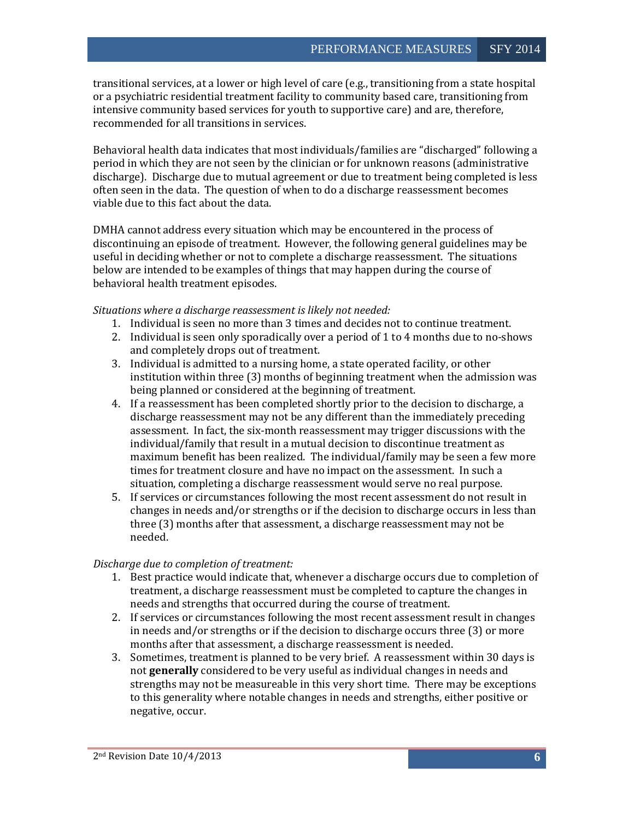transitional services, at a lower or high level of care (e.g., transitioning from a state hospital or a psychiatric residential treatment facility to community based care, transitioning from intensive community based services for youth to supportive care) and are, therefore, recommended for all transitions in services.

Behavioral health data indicates that most individuals/families are "discharged" following a period in which they are not seen by the clinician or for unknown reasons (administrative discharge). Discharge due to mutual agreement or due to treatment being completed is less often seen in the data. The question of when to do a discharge reassessment becomes viable due to this fact about the data.

DMHA cannot address every situation which may be encountered in the process of discontinuing an episode of treatment. However, the following general guidelines may be useful in deciding whether or not to complete a discharge reassessment. The situations below are intended to be examples of things that may happen during the course of behavioral health treatment episodes.

*Situations where a discharge reassessment is likely not needed:*

- 1. Individual is seen no more than 3 times and decides not to continue treatment.
- 2. Individual is seen only sporadically over a period of 1 to 4 months due to no-shows and completely drops out of treatment.
- 3. Individual is admitted to a nursing home, a state operated facility, or other institution within three (3) months of beginning treatment when the admission was being planned or considered at the beginning of treatment.
- 4. If a reassessment has been completed shortly prior to the decision to discharge, a discharge reassessment may not be any different than the immediately preceding assessment. In fact, the six-month reassessment may trigger discussions with the individual/family that result in a mutual decision to discontinue treatment as maximum benefit has been realized. The individual/family may be seen a few more times for treatment closure and have no impact on the assessment. In such a situation, completing a discharge reassessment would serve no real purpose.
- 5. If services or circumstances following the most recent assessment do not result in changes in needs and/or strengths or if the decision to discharge occurs in less than three (3) months after that assessment, a discharge reassessment may not be needed.

#### *Discharge due to completion of treatment:*

- 1. Best practice would indicate that, whenever a discharge occurs due to completion of treatment, a discharge reassessment must be completed to capture the changes in needs and strengths that occurred during the course of treatment.
- 2. If services or circumstances following the most recent assessment result in changes in needs and/or strengths or if the decision to discharge occurs three (3) or more months after that assessment, a discharge reassessment is needed.
- 3. Sometimes, treatment is planned to be very brief. A reassessment within 30 days is not **generally** considered to be very useful as individual changes in needs and strengths may not be measureable in this very short time. There may be exceptions to this generality where notable changes in needs and strengths, either positive or negative, occur.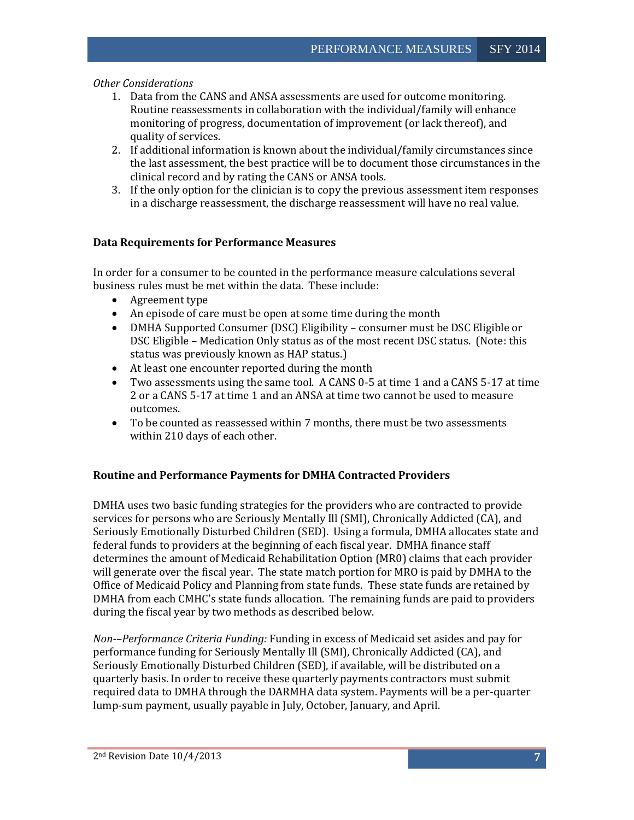#### *Other Considerations*

- 1. Data from the CANS and ANSA assessments are used for outcome monitoring. Routine reassessments in collaboration with the individual/family will enhance monitoring of progress, documentation of improvement (or lack thereof), and quality of services.
- 2. If additional information is known about the individual/family circumstances since the last assessment, the best practice will be to document those circumstances in the clinical record and by rating the CANS or ANSA tools.
- 3. If the only option for the clinician is to copy the previous assessment item responses in a discharge reassessment, the discharge reassessment will have no real value.

#### <span id="page-7-0"></span>**Data Requirements for Performance Measures**

In order for a consumer to be counted in the performance measure calculations several business rules must be met within the data. These include:

- Agreement type
- An episode of care must be open at some time during the month
- DMHA Supported Consumer (DSC) Eligibility consumer must be DSC Eligible or DSC Eligible – Medication Only status as of the most recent DSC status. (Note: this status was previously known as HAP status.)
- At least one encounter reported during the month
- Two assessments using the same tool. A CANS 0-5 at time 1 and a CANS 5-17 at time 2 or a CANS 5-17 at time 1 and an ANSA at time two cannot be used to measure outcomes.
- To be counted as reassessed within 7 months, there must be two assessments within 210 days of each other.

#### <span id="page-7-1"></span>**Routine and Performance Payments for DMHA Contracted Providers**

DMHA uses two basic funding strategies for the providers who are contracted to provide services for persons who are Seriously Mentally Ill (SMI), Chronically Addicted (CA), and Seriously Emotionally Disturbed Children (SED). Using a formula, DMHA allocates state and federal funds to providers at the beginning of each fiscal year. DMHA finance staff determines the amount of Medicaid Rehabilitation Option (MR0) claims that each provider will generate over the fiscal year. The state match portion for MRO is paid by DMHA to the Office of Medicaid Policy and Planning from state funds. These state funds are retained by DMHA from each CMHC's state funds allocation. The remaining funds are paid to providers during the fiscal year by two methods as described below.

*Non-–Performance Criteria Funding:* Funding in excess of Medicaid set asides and pay for performance funding for Seriously Mentally Ill (SMI), Chronically Addicted (CA), and Seriously Emotionally Disturbed Children (SED), if available, will be distributed on a quarterly basis. In order to receive these quarterly payments contractors must submit required data to DMHA through the DARMHA data system. Payments will be a per-quarter lump-sum payment, usually payable in July, October, January, and April.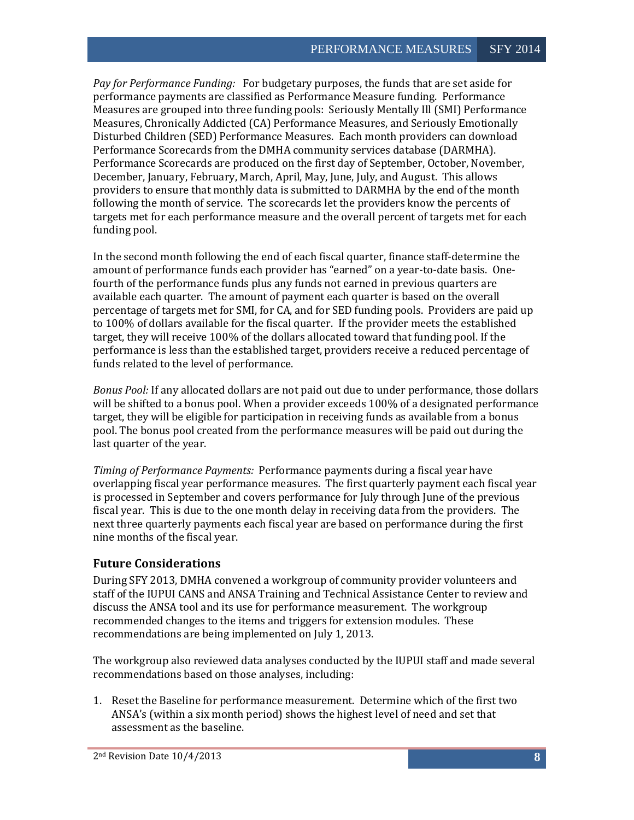*Pay for Performance Funding:* For budgetary purposes, the funds that are set aside for performance payments are classified as Performance Measure funding. Performance Measures are grouped into three funding pools: Seriously Mentally Ill (SMI) Performance Measures, Chronically Addicted (CA) Performance Measures, and Seriously Emotionally Disturbed Children (SED) Performance Measures. Each month providers can download Performance Scorecards from the DMHA community services database (DARMHA). Performance Scorecards are produced on the first day of September, October, November, December, January, February, March, April, May, June, July, and August. This allows providers to ensure that monthly data is submitted to DARMHA by the end of the month following the month of service. The scorecards let the providers know the percents of targets met for each performance measure and the overall percent of targets met for each funding pool.

In the second month following the end of each fiscal quarter, finance staff-determine the amount of performance funds each provider has "earned" on a year-to-date basis. Onefourth of the performance funds plus any funds not earned in previous quarters are available each quarter. The amount of payment each quarter is based on the overall percentage of targets met for SMI, for CA, and for SED funding pools. Providers are paid up to 100% of dollars available for the fiscal quarter. If the provider meets the established target, they will receive 100% of the dollars allocated toward that funding pool. If the performance is less than the established target, providers receive a reduced percentage of funds related to the level of performance.

*Bonus Pool:* If any allocated dollars are not paid out due to under performance, those dollars will be shifted to a bonus pool. When a provider exceeds 100% of a designated performance target, they will be eligible for participation in receiving funds as available from a bonus pool. The bonus pool created from the performance measures will be paid out during the last quarter of the year.

*Timing of Performance Payments:* Performance payments during a fiscal year have overlapping fiscal year performance measures. The first quarterly payment each fiscal year is processed in September and covers performance for July through June of the previous fiscal year. This is due to the one month delay in receiving data from the providers. The next three quarterly payments each fiscal year are based on performance during the first nine months of the fiscal year.

# <span id="page-8-0"></span>**Future Considerations**

During SFY 2013, DMHA convened a workgroup of community provider volunteers and staff of the IUPUI CANS and ANSA Training and Technical Assistance Center to review and discuss the ANSA tool and its use for performance measurement. The workgroup recommended changes to the items and triggers for extension modules. These recommendations are being implemented on July 1, 2013.

The workgroup also reviewed data analyses conducted by the IUPUI staff and made several recommendations based on those analyses, including:

1. Reset the Baseline for performance measurement. Determine which of the first two ANSA's (within a six month period) shows the highest level of need and set that assessment as the baseline.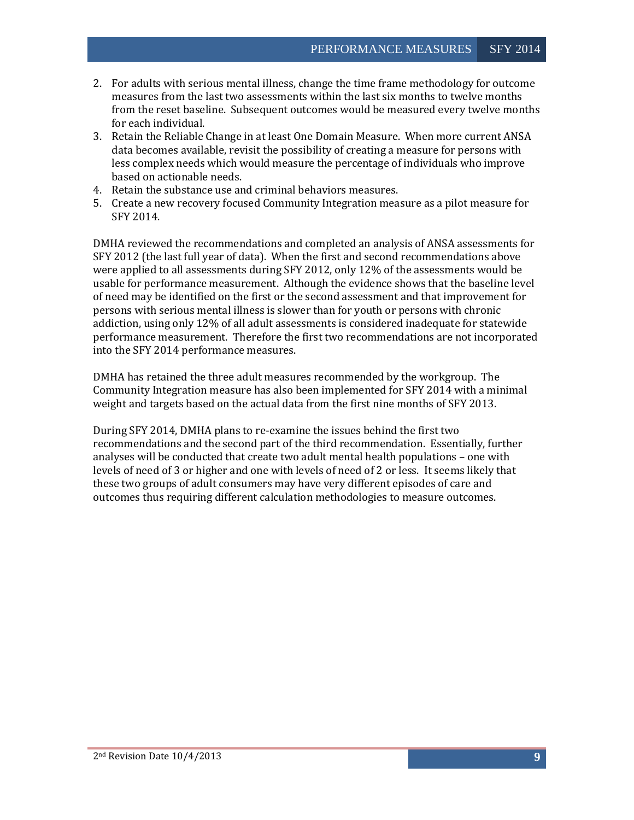- 2. For adults with serious mental illness, change the time frame methodology for outcome measures from the last two assessments within the last six months to twelve months from the reset baseline. Subsequent outcomes would be measured every twelve months for each individual.
- 3. Retain the Reliable Change in at least One Domain Measure. When more current ANSA data becomes available, revisit the possibility of creating a measure for persons with less complex needs which would measure the percentage of individuals who improve based on actionable needs.
- 4. Retain the substance use and criminal behaviors measures.
- 5. Create a new recovery focused Community Integration measure as a pilot measure for SFY 2014.

DMHA reviewed the recommendations and completed an analysis of ANSA assessments for SFY 2012 (the last full year of data). When the first and second recommendations above were applied to all assessments during SFY 2012, only 12% of the assessments would be usable for performance measurement. Although the evidence shows that the baseline level of need may be identified on the first or the second assessment and that improvement for persons with serious mental illness is slower than for youth or persons with chronic addiction, using only 12% of all adult assessments is considered inadequate for statewide performance measurement. Therefore the first two recommendations are not incorporated into the SFY 2014 performance measures.

DMHA has retained the three adult measures recommended by the workgroup. The Community Integration measure has also been implemented for SFY 2014 with a minimal weight and targets based on the actual data from the first nine months of SFY 2013.

During SFY 2014, DMHA plans to re-examine the issues behind the first two recommendations and the second part of the third recommendation. Essentially, further analyses will be conducted that create two adult mental health populations – one with levels of need of 3 or higher and one with levels of need of 2 or less. It seems likely that these two groups of adult consumers may have very different episodes of care and outcomes thus requiring different calculation methodologies to measure outcomes.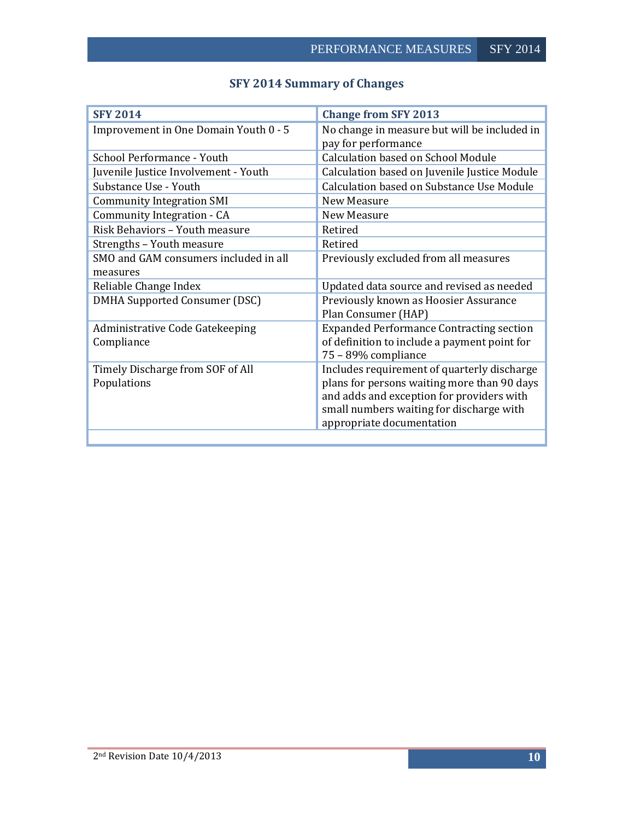<span id="page-10-0"></span>

| <b>SFY 2014</b>                       | <b>Change from SFY 2013</b>                                         |  |  |
|---------------------------------------|---------------------------------------------------------------------|--|--|
| Improvement in One Domain Youth 0 - 5 | No change in measure but will be included in<br>pay for performance |  |  |
| School Performance - Youth            | Calculation based on School Module                                  |  |  |
| Juvenile Justice Involvement - Youth  | Calculation based on Juvenile Justice Module                        |  |  |
| Substance Use - Youth                 | Calculation based on Substance Use Module                           |  |  |
| <b>Community Integration SMI</b>      | New Measure                                                         |  |  |
| Community Integration - CA            | New Measure                                                         |  |  |
| Risk Behaviors - Youth measure        | Retired                                                             |  |  |
| Strengths - Youth measure             | Retired                                                             |  |  |
| SMO and GAM consumers included in all | Previously excluded from all measures                               |  |  |
| measures                              |                                                                     |  |  |
| Reliable Change Index                 | Updated data source and revised as needed                           |  |  |
| DMHA Supported Consumer (DSC)         | Previously known as Hoosier Assurance<br>Plan Consumer (HAP)        |  |  |
| Administrative Code Gatekeeping       | <b>Expanded Performance Contracting section</b>                     |  |  |
| Compliance                            | of definition to include a payment point for<br>75 - 89% compliance |  |  |
| Timely Discharge from SOF of All      | Includes requirement of quarterly discharge                         |  |  |
| Populations                           | plans for persons waiting more than 90 days                         |  |  |
|                                       | and adds and exception for providers with                           |  |  |
|                                       | small numbers waiting for discharge with                            |  |  |
|                                       | appropriate documentation                                           |  |  |

# **SFY 2014 Summary of Changes**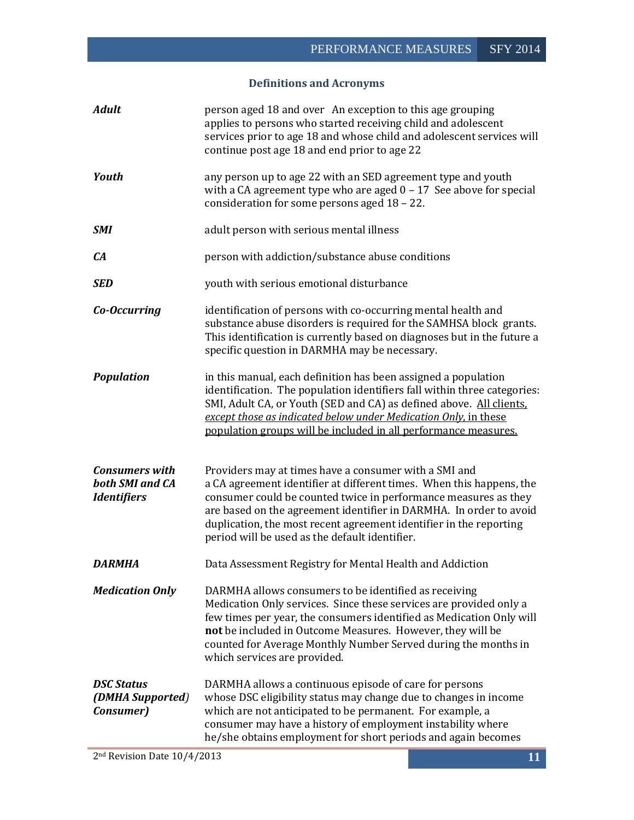# **Definitions and Acronyms**

<span id="page-11-0"></span>

| <b>Adult</b>                                                   | person aged 18 and over An exception to this age grouping<br>applies to persons who started receiving child and adolescent<br>services prior to age 18 and whose child and adolescent services will<br>continue post age 18 and end prior to age 22                                                                                                                                            |
|----------------------------------------------------------------|------------------------------------------------------------------------------------------------------------------------------------------------------------------------------------------------------------------------------------------------------------------------------------------------------------------------------------------------------------------------------------------------|
| Youth                                                          | any person up to age 22 with an SED agreement type and youth<br>with a CA agreement type who are aged $0 - 17$ See above for special<br>consideration for some persons aged 18 - 22.                                                                                                                                                                                                           |
| <b>SMI</b>                                                     | adult person with serious mental illness                                                                                                                                                                                                                                                                                                                                                       |
| CA                                                             | person with addiction/substance abuse conditions                                                                                                                                                                                                                                                                                                                                               |
| <b>SED</b>                                                     | youth with serious emotional disturbance                                                                                                                                                                                                                                                                                                                                                       |
| Co-Occurring                                                   | identification of persons with co-occurring mental health and<br>substance abuse disorders is required for the SAMHSA block grants.<br>This identification is currently based on diagnoses but in the future a<br>specific question in DARMHA may be necessary.                                                                                                                                |
| <b>Population</b>                                              | in this manual, each definition has been assigned a population<br>identification. The population identifiers fall within three categories:<br>SMI, Adult CA, or Youth (SED and CA) as defined above. All clients,<br>except those as indicated below under Medication Only, in these<br>population groups will be included in all performance measures.                                        |
| <b>Consumers with</b><br>both SMI and CA<br><b>Identifiers</b> | Providers may at times have a consumer with a SMI and<br>a CA agreement identifier at different times. When this happens, the<br>consumer could be counted twice in performance measures as they<br>are based on the agreement identifier in DARMHA. In order to avoid<br>duplication, the most recent agreement identifier in the reporting<br>period will be used as the default identifier. |
| DARMHA                                                         | Data Assessment Registry for Mental Health and Addiction                                                                                                                                                                                                                                                                                                                                       |
| <b>Medication Only</b>                                         | DARMHA allows consumers to be identified as receiving<br>Medication Only services. Since these services are provided only a<br>few times per year, the consumers identified as Medication Only will<br>not be included in Outcome Measures. However, they will be<br>counted for Average Monthly Number Served during the months in<br>which services are provided.                            |
| <b>DSC Status</b><br>(DMHA Supported)<br>Consumer)             | DARMHA allows a continuous episode of care for persons<br>whose DSC eligibility status may change due to changes in income<br>which are not anticipated to be permanent. For example, a<br>consumer may have a history of employment instability where<br>he/she obtains employment for short periods and again becomes                                                                        |
| 2 <sup>nd</sup> Revision Date 10/4/2013                        | 11                                                                                                                                                                                                                                                                                                                                                                                             |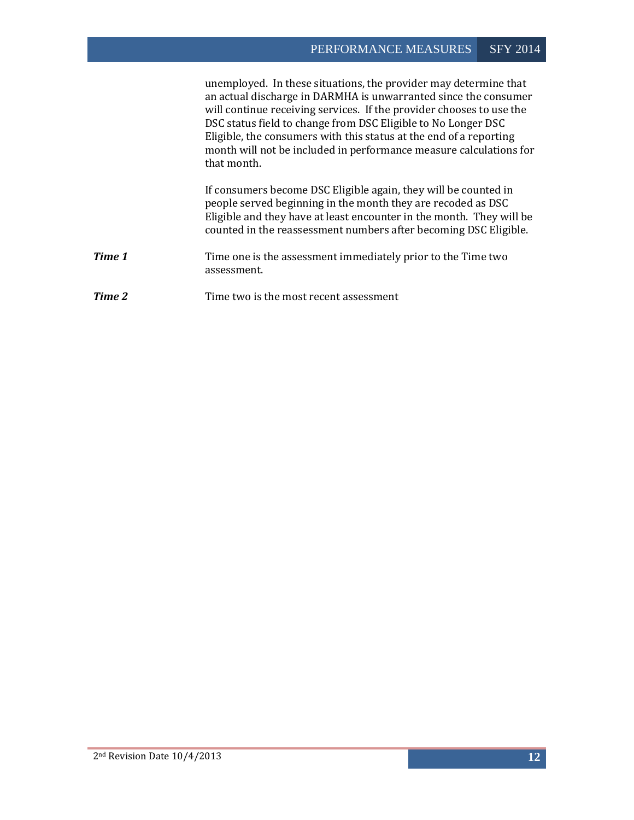|        | unemployed. In these situations, the provider may determine that<br>an actual discharge in DARMHA is unwarranted since the consumer<br>will continue receiving services. If the provider chooses to use the<br>DSC status field to change from DSC Eligible to No Longer DSC<br>Eligible, the consumers with this status at the end of a reporting<br>month will not be included in performance measure calculations for<br>that month. |
|--------|-----------------------------------------------------------------------------------------------------------------------------------------------------------------------------------------------------------------------------------------------------------------------------------------------------------------------------------------------------------------------------------------------------------------------------------------|
|        | If consumers become DSC Eligible again, they will be counted in<br>people served beginning in the month they are recoded as DSC<br>Eligible and they have at least encounter in the month. They will be<br>counted in the reassessment numbers after becoming DSC Eligible.                                                                                                                                                             |
| Time 1 | Time one is the assessment immediately prior to the Time two<br>assessment.                                                                                                                                                                                                                                                                                                                                                             |
| Time 2 | Time two is the most recent assessment                                                                                                                                                                                                                                                                                                                                                                                                  |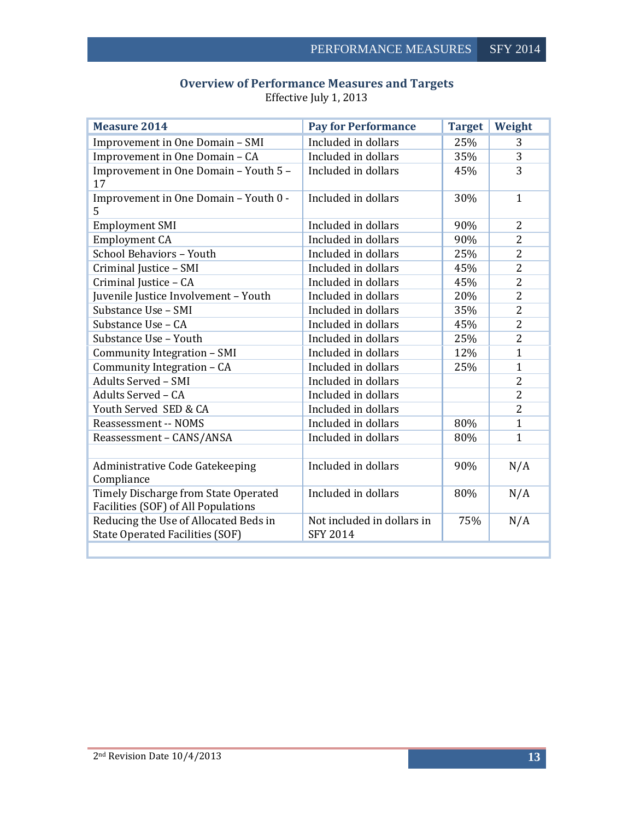<span id="page-13-0"></span>

| <b>Measure 2014</b>                                                             | <b>Pay for Performance</b>                    | <b>Target</b> | Weight         |
|---------------------------------------------------------------------------------|-----------------------------------------------|---------------|----------------|
| Improvement in One Domain - SMI                                                 | Included in dollars                           | 25%           | 3              |
| Improvement in One Domain - CA                                                  | Included in dollars                           | 35%           | 3              |
| Improvement in One Domain - Youth 5 -<br>17                                     | Included in dollars                           | 45%           | 3              |
| Improvement in One Domain - Youth 0 -<br>5                                      | Included in dollars                           | 30%           | $\mathbf{1}$   |
| <b>Employment SMI</b>                                                           | Included in dollars                           | 90%           | 2              |
| <b>Employment CA</b>                                                            | Included in dollars                           | 90%           | $\overline{2}$ |
| School Behaviors - Youth                                                        | Included in dollars                           | 25%           | $\overline{2}$ |
| Criminal Justice - SMI                                                          | Included in dollars                           | 45%           | $\overline{2}$ |
| Criminal Justice - CA                                                           | Included in dollars                           | 45%           | $\overline{2}$ |
| Juvenile Justice Involvement - Youth                                            | Included in dollars                           | 20%           | $\overline{2}$ |
| Substance Use - SMI                                                             | Included in dollars                           | 35%           | 2              |
| Substance Use - CA                                                              | Included in dollars                           | 45%           | $\overline{2}$ |
| Substance Use - Youth                                                           | Included in dollars                           | 25%           | $\overline{2}$ |
| Community Integration - SMI                                                     | Included in dollars                           | 12%           | $\mathbf{1}$   |
| Community Integration - CA                                                      | Included in dollars                           | 25%           | $\mathbf{1}$   |
| <b>Adults Served - SMI</b>                                                      | Included in dollars                           |               | 2              |
| Adults Served - CA                                                              | Included in dollars                           |               | $\overline{2}$ |
| Youth Served SED & CA                                                           | Included in dollars                           |               | $\overline{2}$ |
| Reassessment -- NOMS                                                            | Included in dollars                           | 80%           | $\mathbf{1}$   |
| Reassessment - CANS/ANSA                                                        | Included in dollars                           | 80%           | $\mathbf{1}$   |
|                                                                                 |                                               |               |                |
| Administrative Code Gatekeeping<br>Compliance                                   | Included in dollars                           | 90%           | N/A            |
| Timely Discharge from State Operated<br>Facilities (SOF) of All Populations     | Included in dollars                           | 80%           | N/A            |
| Reducing the Use of Allocated Beds in<br><b>State Operated Facilities (SOF)</b> | Not included in dollars in<br><b>SFY 2014</b> | 75%           | N/A            |
|                                                                                 |                                               |               |                |

# **Overview of Performance Measures and Targets** Effective July 1, 2013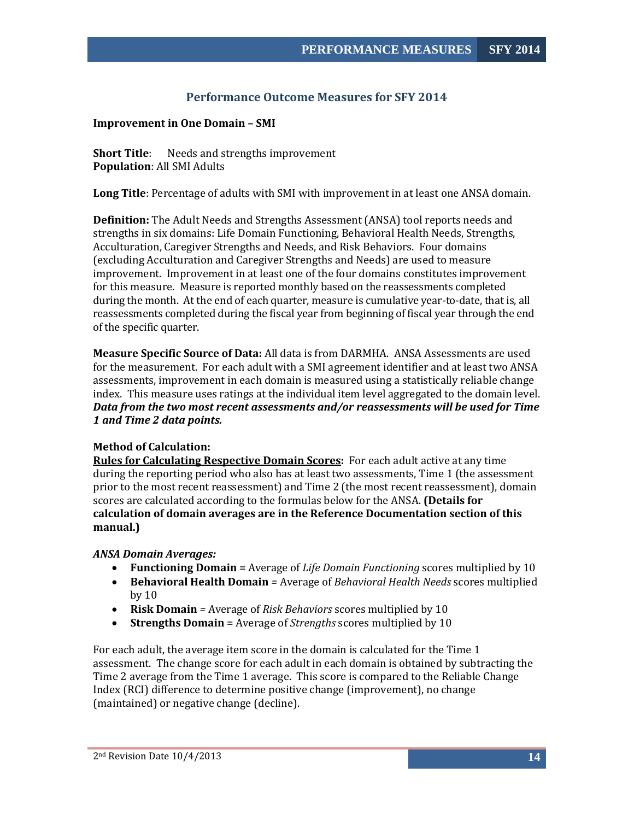# **Performance Outcome Measures for SFY 2014**

#### <span id="page-14-1"></span><span id="page-14-0"></span>**Improvement in One Domain – SMI**

**Short Title:** Needs and strengths improvement **Population**: All SMI Adults

**Long Title**: Percentage of adults with SMI with improvement in at least one ANSA domain.

**Definition:** The Adult Needs and Strengths Assessment (ANSA) tool reports needs and strengths in six domains: Life Domain Functioning, Behavioral Health Needs, Strengths, Acculturation, Caregiver Strengths and Needs, and Risk Behaviors. Four domains (excluding Acculturation and Caregiver Strengths and Needs) are used to measure improvement. Improvement in at least one of the four domains constitutes improvement for this measure. Measure is reported monthly based on the reassessments completed during the month. At the end of each quarter, measure is cumulative year-to-date, that is, all reassessments completed during the fiscal year from beginning of fiscal year through the end of the specific quarter.

**Measure Specific Source of Data:** All data is from DARMHA. ANSA Assessments are used for the measurement. For each adult with a SMI agreement identifier and at least two ANSA assessments, improvement in each domain is measured using a statistically reliable change index. This measure uses ratings at the individual item level aggregated to the domain level. *Data from the two most recent assessments and/or reassessments will be used for Time 1 and Time 2 data points.*

#### **Method of Calculation:**

**Rules for Calculating Respective Domain Scores:** For each adult active at any time during the reporting period who also has at least two assessments, Time 1 (the assessment prior to the most recent reassessment) and Time 2 (the most recent reassessment), domain scores are calculated according to the formulas below for the ANSA. **(Details for calculation of domain averages are in the Reference Documentation section of this manual.)**

#### *ANSA Domain Averages:*

- **Functioning Domain** = Average of *Life Domain Functioning* scores multiplied by 10
- **Behavioral Health Domain** *=* Average of *Behavioral Health Needs* scores multiplied by 10
- **Risk Domain** *=* Average of *Risk Behaviors* scores multiplied by 10
- **Strengths Domain** = Average of *Strengths* scores multiplied by 10

For each adult, the average item score in the domain is calculated for the Time 1 assessment. The change score for each adult in each domain is obtained by subtracting the Time 2 average from the Time 1 average. This score is compared to the Reliable Change Index (RCI) difference to determine positive change (improvement), no change (maintained) or negative change (decline).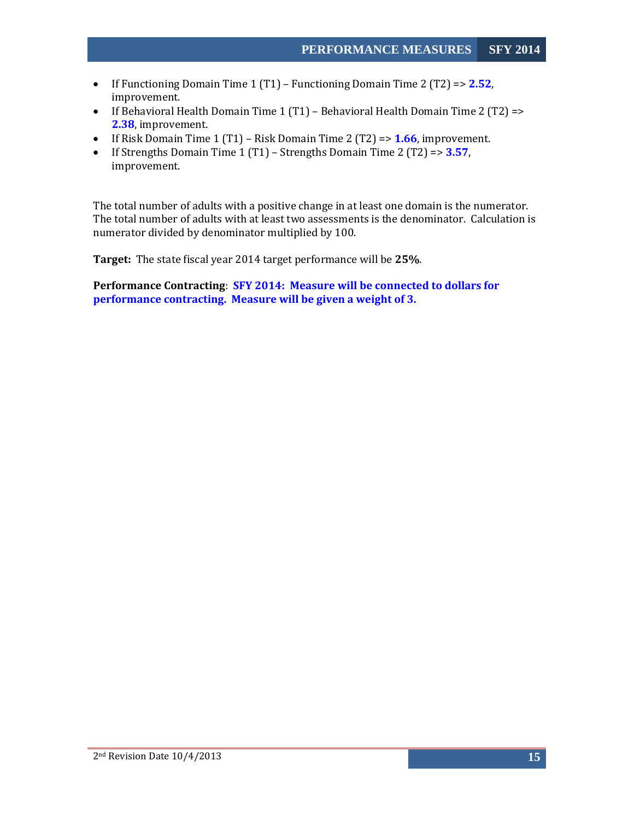- If Functioning Domain Time 1 (T1) Functioning Domain Time 2 (T2) => **2.52**, improvement.
- If Behavioral Health Domain Time 1 (T1) Behavioral Health Domain Time 2 (T2) => **2.38**, improvement.
- If Risk Domain Time 1 (T1) Risk Domain Time 2 (T2) => **1.66**, improvement.
- If Strengths Domain Time 1 (T1) Strengths Domain Time 2 (T2) => **3.57**, improvement.

The total number of adults with a positive change in at least one domain is the numerator. The total number of adults with at least two assessments is the denominator. Calculation is numerator divided by denominator multiplied by 100.

**Target:** The state fiscal year 2014 target performance will be **25%**.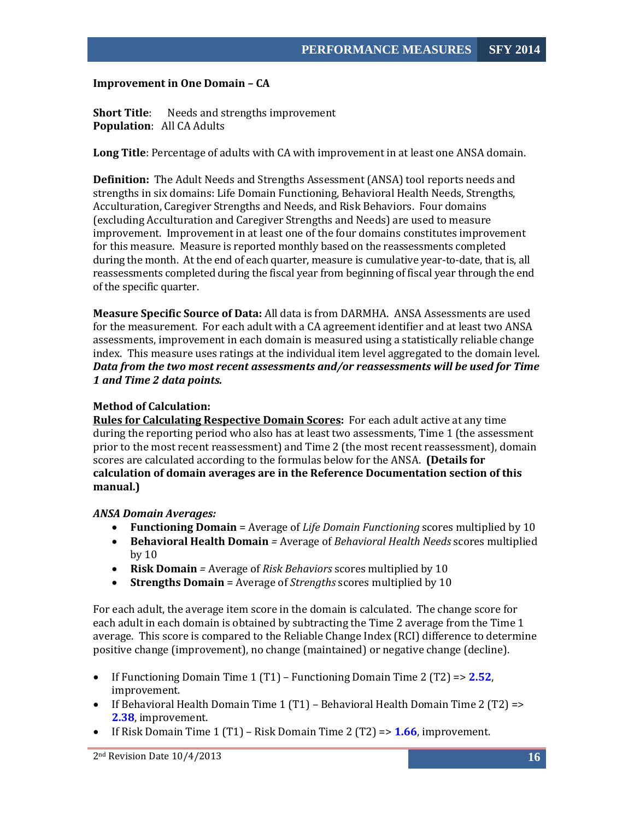#### <span id="page-16-0"></span>**Improvement in One Domain – CA**

**Short Title:** Needs and strengths improvement **Population**: All CA Adults

**Long Title**: Percentage of adults with CA with improvement in at least one ANSA domain.

**Definition:** The Adult Needs and Strengths Assessment (ANSA) tool reports needs and strengths in six domains: Life Domain Functioning, Behavioral Health Needs, Strengths, Acculturation, Caregiver Strengths and Needs, and Risk Behaviors. Four domains (excluding Acculturation and Caregiver Strengths and Needs) are used to measure improvement. Improvement in at least one of the four domains constitutes improvement for this measure. Measure is reported monthly based on the reassessments completed during the month. At the end of each quarter, measure is cumulative year-to-date, that is, all reassessments completed during the fiscal year from beginning of fiscal year through the end of the specific quarter.

**Measure Specific Source of Data:** All data is from DARMHA. ANSA Assessments are used for the measurement. For each adult with a CA agreement identifier and at least two ANSA assessments, improvement in each domain is measured using a statistically reliable change index. This measure uses ratings at the individual item level aggregated to the domain level. *Data from the two most recent assessments and/or reassessments will be used for Time 1 and Time 2 data points.*

#### **Method of Calculation:**

**Rules for Calculating Respective Domain Scores:** For each adult active at any time during the reporting period who also has at least two assessments, Time 1 (the assessment prior to the most recent reassessment) and Time 2 (the most recent reassessment), domain scores are calculated according to the formulas below for the ANSA. **(Details for calculation of domain averages are in the Reference Documentation section of this manual.)**

#### *ANSA Domain Averages:*

- **Functioning Domain** = Average of *Life Domain Functioning* scores multiplied by 10
- **Behavioral Health Domain** *=* Average of *Behavioral Health Needs* scores multiplied by 10
- **Risk Domain** *=* Average of *Risk Behaviors* scores multiplied by 10
- **Strengths Domain** = Average of *Strengths* scores multiplied by 10

For each adult, the average item score in the domain is calculated. The change score for each adult in each domain is obtained by subtracting the Time 2 average from the Time 1 average. This score is compared to the Reliable Change Index (RCI) difference to determine positive change (improvement), no change (maintained) or negative change (decline).

- If Functioning Domain Time 1 (T1) Functioning Domain Time 2 (T2) => **2.52**, improvement.
- If Behavioral Health Domain Time 1 (T1) Behavioral Health Domain Time 2 (T2) => **2.38**, improvement.
- If Risk Domain Time 1 (T1) Risk Domain Time 2 (T2) => **1.66**, improvement.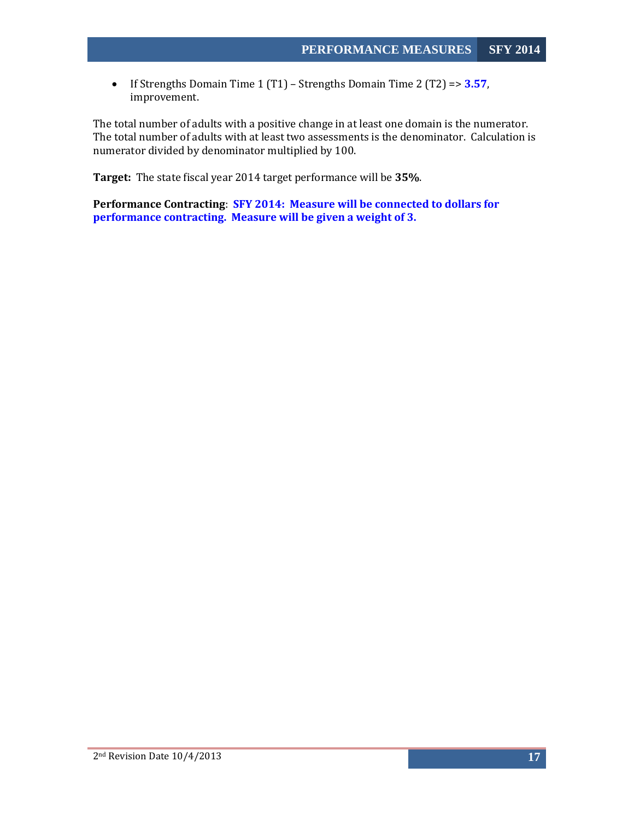• If Strengths Domain Time 1 (T1) – Strengths Domain Time 2 (T2) => **3.57**, improvement.

The total number of adults with a positive change in at least one domain is the numerator. The total number of adults with at least two assessments is the denominator. Calculation is numerator divided by denominator multiplied by 100.

**Target:** The state fiscal year 2014 target performance will be **35%**.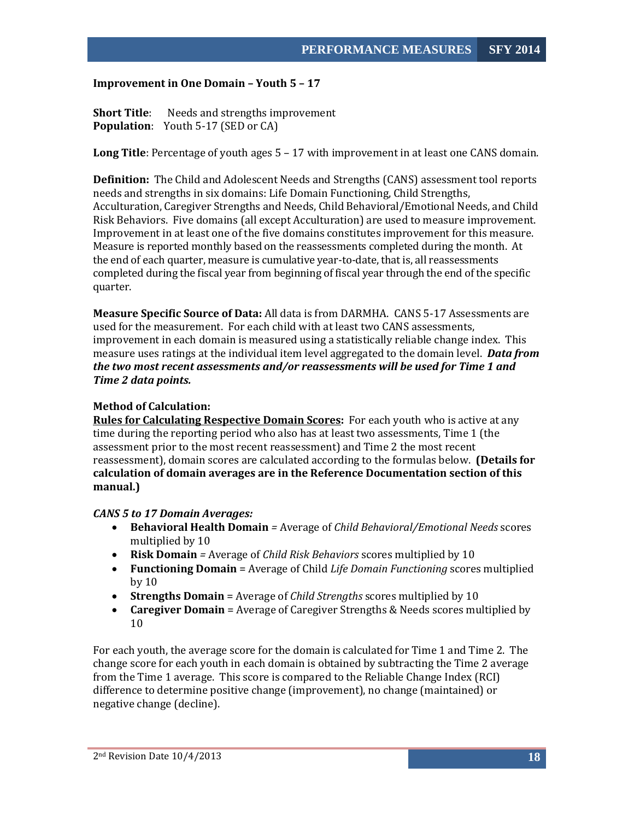#### <span id="page-18-0"></span>**Improvement in One Domain – Youth 5 – 17**

**Short Title:** Needs and strengths improvement **Population**: Youth 5-17 (SED or CA)

**Long Title**: Percentage of youth ages 5 – 17 with improvement in at least one CANS domain.

**Definition:** The Child and Adolescent Needs and Strengths (CANS) assessment tool reports needs and strengths in six domains: Life Domain Functioning, Child Strengths, Acculturation, Caregiver Strengths and Needs, Child Behavioral/Emotional Needs, and Child Risk Behaviors. Five domains (all except Acculturation) are used to measure improvement. Improvement in at least one of the five domains constitutes improvement for this measure. Measure is reported monthly based on the reassessments completed during the month. At the end of each quarter, measure is cumulative year-to-date, that is, all reassessments completed during the fiscal year from beginning of fiscal year through the end of the specific quarter.

**Measure Specific Source of Data:** All data is from DARMHA. CANS 5-17 Assessments are used for the measurement. For each child with at least two CANS assessments, improvement in each domain is measured using a statistically reliable change index. This measure uses ratings at the individual item level aggregated to the domain level. *Data from the two most recent assessments and/or reassessments will be used for Time 1 and Time 2 data points.*

#### **Method of Calculation:**

**Rules for Calculating Respective Domain Scores:** For each youth who is active at any time during the reporting period who also has at least two assessments, Time 1 (the assessment prior to the most recent reassessment) and Time 2 the most recent reassessment), domain scores are calculated according to the formulas below. **(Details for calculation of domain averages are in the Reference Documentation section of this manual.)**

#### *CANS 5 to 17 Domain Averages:*

- **Behavioral Health Domain** *=* Average of *Child Behavioral/Emotional Needs* scores multiplied by 10
- **Risk Domain** *=* Average of *Child Risk Behaviors* scores multiplied by 10
- **Functioning Domain** = Average of Child *Life Domain Functioning* scores multiplied by 10
- **Strengths Domain** = Average of *Child Strengths* scores multiplied by 10
- **Caregiver Domain** = Average of Caregiver Strengths & Needs scores multiplied by 10

For each youth, the average score for the domain is calculated for Time 1 and Time 2. The change score for each youth in each domain is obtained by subtracting the Time 2 average from the Time 1 average. This score is compared to the Reliable Change Index (RCI) difference to determine positive change (improvement), no change (maintained) or negative change (decline).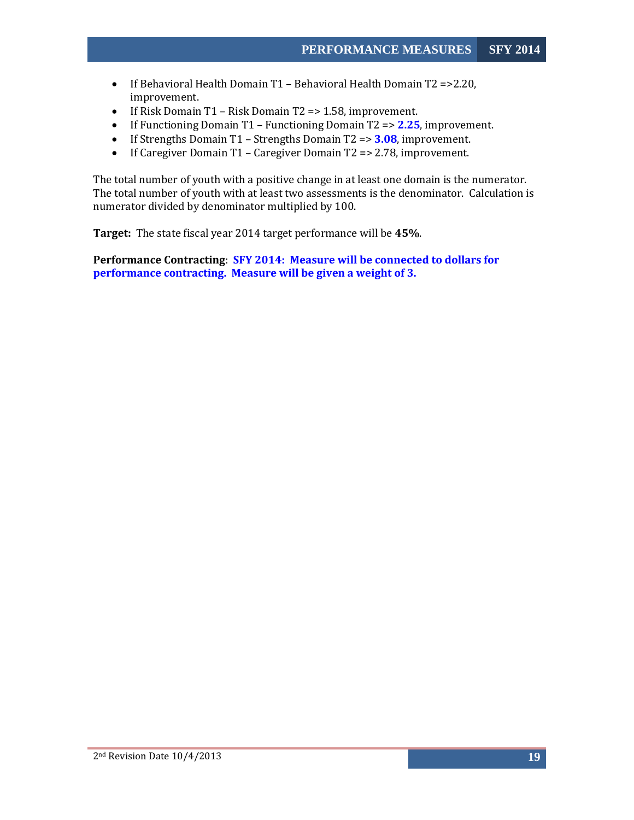- If Behavioral Health Domain T1 Behavioral Health Domain T2 =>2.20, improvement.
- If Risk Domain T1 Risk Domain T2 => 1.58, improvement.
- If Functioning Domain T1 Functioning Domain T2 => **2.25**, improvement.
- If Strengths Domain T1 Strengths Domain T2 => **3.08**, improvement.
- If Caregiver Domain T1 Caregiver Domain T2 => 2.78, improvement.

The total number of youth with a positive change in at least one domain is the numerator. The total number of youth with at least two assessments is the denominator. Calculation is numerator divided by denominator multiplied by 100.

**Target:** The state fiscal year 2014 target performance will be **45%**.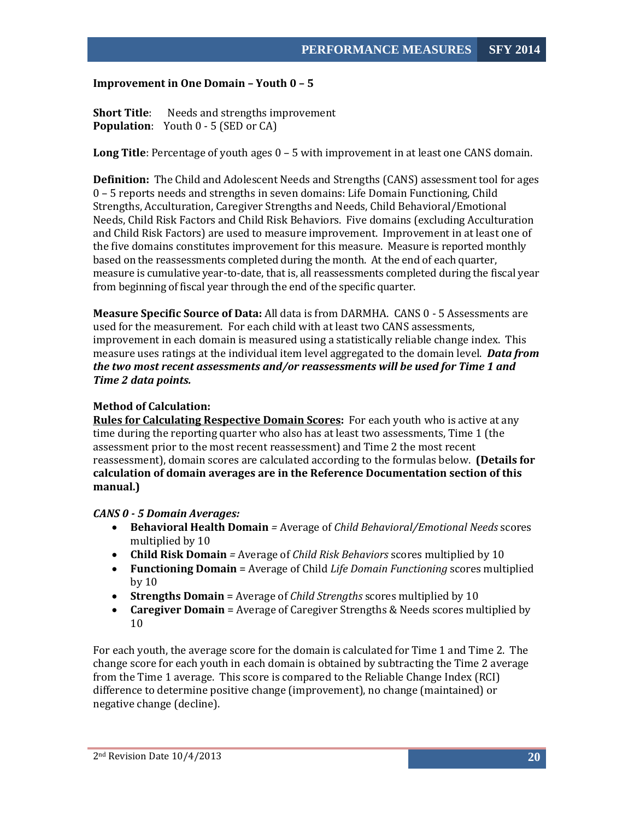#### <span id="page-20-0"></span>**Improvement in One Domain – Youth 0 – 5**

**Short Title:** Needs and strengths improvement **Population**: Youth 0 - 5 (SED or CA)

**Long Title**: Percentage of youth ages 0 – 5 with improvement in at least one CANS domain.

**Definition:** The Child and Adolescent Needs and Strengths (CANS) assessment tool for ages 0 – 5 reports needs and strengths in seven domains: Life Domain Functioning, Child Strengths, Acculturation, Caregiver Strengths and Needs, Child Behavioral/Emotional Needs, Child Risk Factors and Child Risk Behaviors. Five domains (excluding Acculturation and Child Risk Factors) are used to measure improvement. Improvement in at least one of the five domains constitutes improvement for this measure. Measure is reported monthly based on the reassessments completed during the month. At the end of each quarter, measure is cumulative year-to-date, that is, all reassessments completed during the fiscal year from beginning of fiscal year through the end of the specific quarter.

**Measure Specific Source of Data:** All data is from DARMHA. CANS 0 - 5 Assessments are used for the measurement. For each child with at least two CANS assessments, improvement in each domain is measured using a statistically reliable change index. This measure uses ratings at the individual item level aggregated to the domain level. *Data from the two most recent assessments and/or reassessments will be used for Time 1 and Time 2 data points.*

#### **Method of Calculation:**

**Rules for Calculating Respective Domain Scores:** For each youth who is active at any time during the reporting quarter who also has at least two assessments, Time 1 (the assessment prior to the most recent reassessment) and Time 2 the most recent reassessment), domain scores are calculated according to the formulas below. **(Details for calculation of domain averages are in the Reference Documentation section of this manual.)**

#### *CANS 0 - 5 Domain Averages:*

- **Behavioral Health Domain** *=* Average of *Child Behavioral/Emotional Needs* scores multiplied by 10
- **Child Risk Domain** *=* Average of *Child Risk Behaviors* scores multiplied by 10
- **Functioning Domain** = Average of Child *Life Domain Functioning* scores multiplied by 10
- **Strengths Domain** = Average of *Child Strengths* scores multiplied by 10
- **Caregiver Domain** = Average of Caregiver Strengths & Needs scores multiplied by 10

For each youth, the average score for the domain is calculated for Time 1 and Time 2. The change score for each youth in each domain is obtained by subtracting the Time 2 average from the Time 1 average. This score is compared to the Reliable Change Index (RCI) difference to determine positive change (improvement), no change (maintained) or negative change (decline).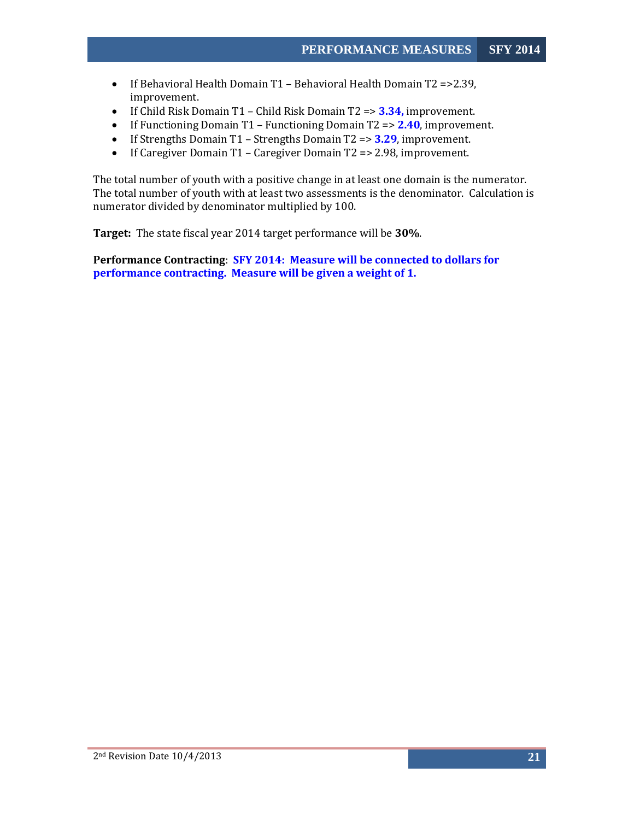- If Behavioral Health Domain T1 Behavioral Health Domain T2 =>2.39, improvement.
- If Child Risk Domain T1 Child Risk Domain T2 => **3.34,** improvement.
- If Functioning Domain T1 Functioning Domain T2 => **2.40**, improvement.
- If Strengths Domain T1 Strengths Domain T2 => **3.29**, improvement.
- If Caregiver Domain T1 Caregiver Domain T2 => 2.98, improvement.

The total number of youth with a positive change in at least one domain is the numerator. The total number of youth with at least two assessments is the denominator. Calculation is numerator divided by denominator multiplied by 100.

**Target:** The state fiscal year 2014 target performance will be **30%**.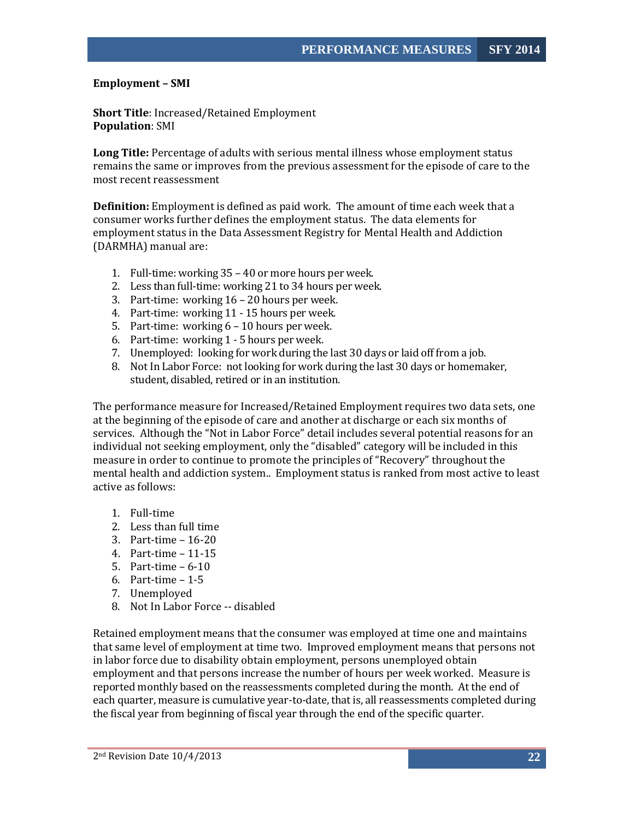#### <span id="page-22-0"></span>**Employment – SMI**

**Short Title**: Increased/Retained Employment **Population**: SMI

**Long Title:** Percentage of adults with serious mental illness whose employment status remains the same or improves from the previous assessment for the episode of care to the most recent reassessment

**Definition:** Employment is defined as paid work. The amount of time each week that a consumer works further defines the employment status. The data elements for employment status in the Data Assessment Registry for Mental Health and Addiction (DARMHA) manual are:

- 1. Full-time: working 35 40 or more hours per week.
- 2. Less than full-time: working 21 to 34 hours per week.
- 3. Part-time: working 16 20 hours per week.
- 4. Part-time: working 11 15 hours per week.
- 5. Part-time: working 6 10 hours per week.
- 6. Part-time: working 1 5 hours per week.
- 7. Unemployed: looking for work during the last 30 days or laid off from a job.
- 8. Not In Labor Force: not looking for work during the last 30 days or homemaker, student, disabled, retired or in an institution.

The performance measure for Increased/Retained Employment requires two data sets, one at the beginning of the episode of care and another at discharge or each six months of services. Although the "Not in Labor Force" detail includes several potential reasons for an individual not seeking employment, only the "disabled" category will be included in this measure in order to continue to promote the principles of "Recovery" throughout the mental health and addiction system.. Employment status is ranked from most active to least active as follows:

- 1. Full-time
- 2. Less than full time
- 3. Part-time 16-20
- 4. Part-time 11-15
- 5. Part-time 6-10
- 6. Part-time 1-5
- 7. Unemployed
- 8. Not In Labor Force -- disabled

Retained employment means that the consumer was employed at time one and maintains that same level of employment at time two. Improved employment means that persons not in labor force due to disability obtain employment, persons unemployed obtain employment and that persons increase the number of hours per week worked. Measure is reported monthly based on the reassessments completed during the month. At the end of each quarter, measure is cumulative year-to-date, that is, all reassessments completed during the fiscal year from beginning of fiscal year through the end of the specific quarter.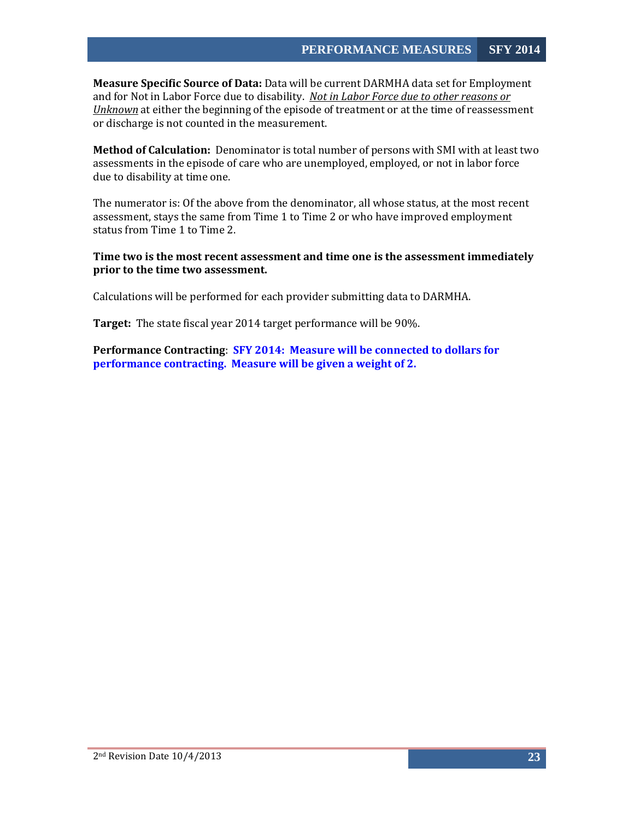**Measure Specific Source of Data:** Data will be current DARMHA data set for Employment and for Not in Labor Force due to disability. *Not in Labor Force due to other reasons or Unknown* at either the beginning of the episode of treatment or at the time of reassessment or discharge is not counted in the measurement.

**Method of Calculation:** Denominator is total number of persons with SMI with at least two assessments in the episode of care who are unemployed, employed, or not in labor force due to disability at time one.

The numerator is: Of the above from the denominator, all whose status, at the most recent assessment, stays the same from Time 1 to Time 2 or who have improved employment status from Time 1 to Time 2.

#### **Time two is the most recent assessment and time one is the assessment immediately prior to the time two assessment.**

Calculations will be performed for each provider submitting data to DARMHA.

**Target:** The state fiscal year 2014 target performance will be 90%.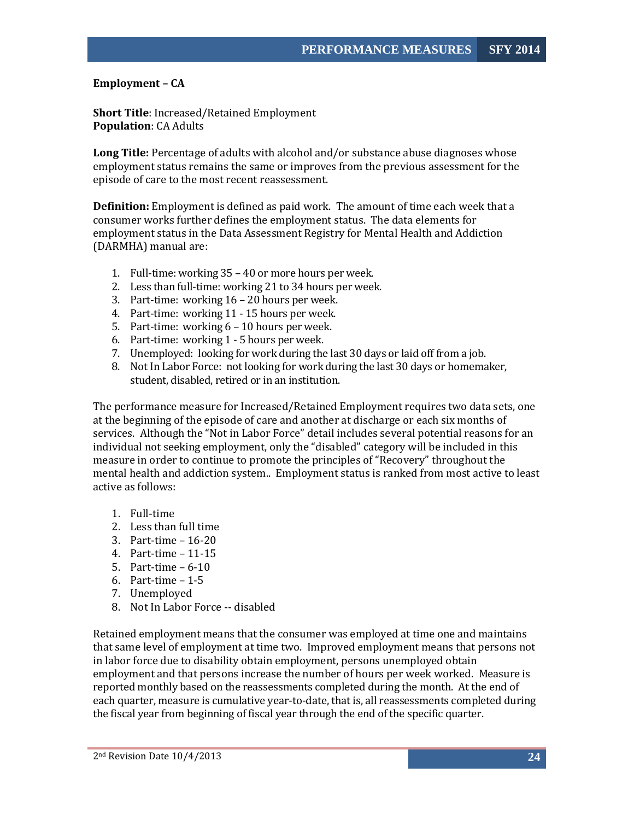# <span id="page-24-0"></span>**Employment – CA**

**Short Title**: Increased/Retained Employment **Population**: CA Adults

**Long Title:** Percentage of adults with alcohol and/or substance abuse diagnoses whose employment status remains the same or improves from the previous assessment for the episode of care to the most recent reassessment.

**Definition:** Employment is defined as paid work. The amount of time each week that a consumer works further defines the employment status. The data elements for employment status in the Data Assessment Registry for Mental Health and Addiction (DARMHA) manual are:

- 1. Full-time: working 35 40 or more hours per week.
- 2. Less than full-time: working 21 to 34 hours per week.
- 3. Part-time: working 16 20 hours per week.
- 4. Part-time: working 11 15 hours per week.
- 5. Part-time: working 6 10 hours per week.
- 6. Part-time: working 1 5 hours per week.
- 7. Unemployed: looking for work during the last 30 days or laid off from a job.
- 8. Not In Labor Force: not looking for work during the last 30 days or homemaker, student, disabled, retired or in an institution.

The performance measure for Increased/Retained Employment requires two data sets, one at the beginning of the episode of care and another at discharge or each six months of services. Although the "Not in Labor Force" detail includes several potential reasons for an individual not seeking employment, only the "disabled" category will be included in this measure in order to continue to promote the principles of "Recovery" throughout the mental health and addiction system.. Employment status is ranked from most active to least active as follows:

- 1. Full-time
- 2. Less than full time
- 3. Part-time 16-20
- 4. Part-time 11-15
- 5. Part-time 6-10
- 6. Part-time 1-5
- 7. Unemployed
- 8. Not In Labor Force -- disabled

Retained employment means that the consumer was employed at time one and maintains that same level of employment at time two. Improved employment means that persons not in labor force due to disability obtain employment, persons unemployed obtain employment and that persons increase the number of hours per week worked. Measure is reported monthly based on the reassessments completed during the month. At the end of each quarter, measure is cumulative year-to-date, that is, all reassessments completed during the fiscal year from beginning of fiscal year through the end of the specific quarter.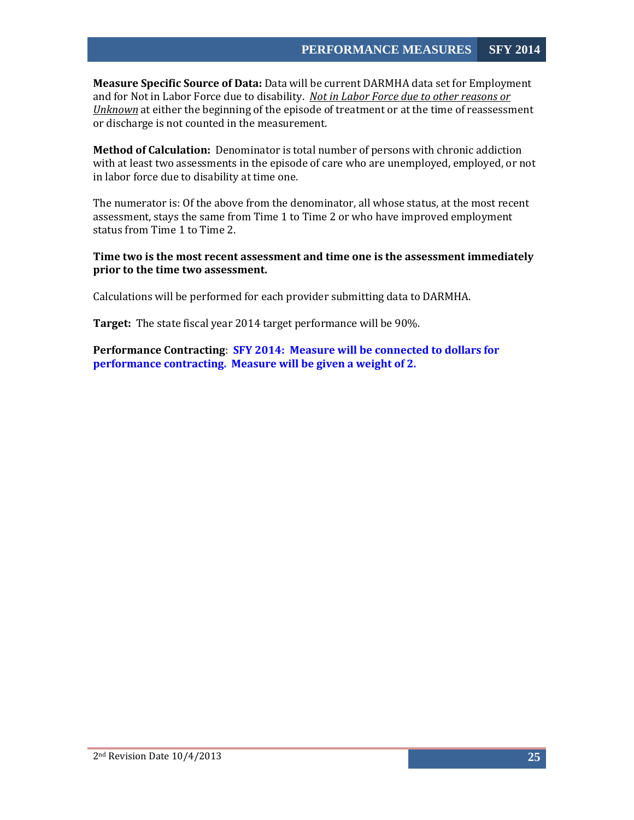**Measure Specific Source of Data:** Data will be current DARMHA data set for Employment and for Not in Labor Force due to disability. *Not in Labor Force due to other reasons or Unknown* at either the beginning of the episode of treatment or at the time of reassessment or discharge is not counted in the measurement.

**Method of Calculation:** Denominator is total number of persons with chronic addiction with at least two assessments in the episode of care who are unemployed, employed, or not in labor force due to disability at time one.

The numerator is: Of the above from the denominator, all whose status, at the most recent assessment, stays the same from Time 1 to Time 2 or who have improved employment status from Time 1 to Time 2.

#### **Time two is the most recent assessment and time one is the assessment immediately prior to the time two assessment.**

Calculations will be performed for each provider submitting data to DARMHA.

**Target:** The state fiscal year 2014 target performance will be 90%.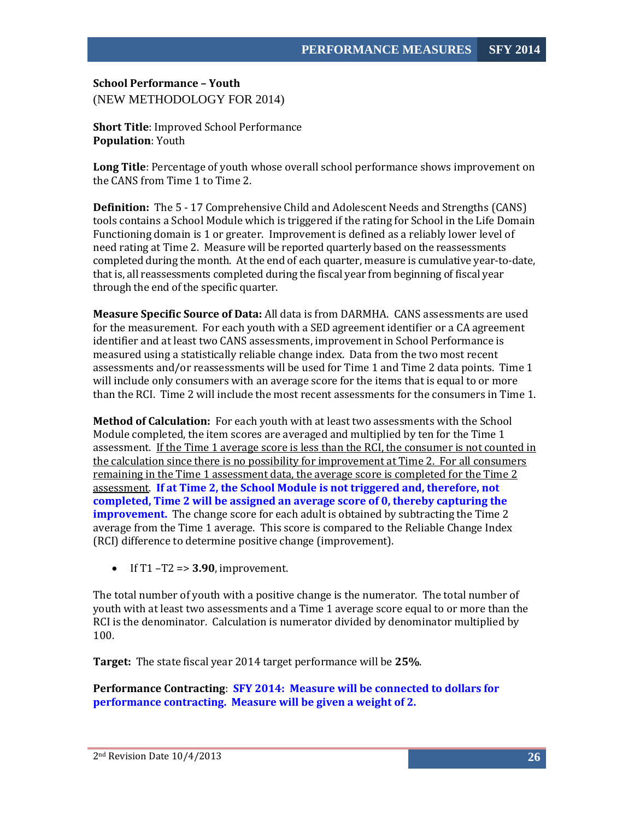<span id="page-26-0"></span>**School Performance – Youth**  (NEW METHODOLOGY FOR 2014)

**Short Title**: Improved School Performance **Population**: Youth

**Long Title**: Percentage of youth whose overall school performance shows improvement on the CANS from Time 1 to Time 2.

**Definition:** The 5 - 17 Comprehensive Child and Adolescent Needs and Strengths (CANS) tools contains a School Module which is triggered if the rating for School in the Life Domain Functioning domain is 1 or greater. Improvement is defined as a reliably lower level of need rating at Time 2. Measure will be reported quarterly based on the reassessments completed during the month. At the end of each quarter, measure is cumulative year-to-date, that is, all reassessments completed during the fiscal year from beginning of fiscal year through the end of the specific quarter.

**Measure Specific Source of Data:** All data is from DARMHA. CANS assessments are used for the measurement. For each youth with a SED agreement identifier or a CA agreement identifier and at least two CANS assessments, improvement in School Performance is measured using a statistically reliable change index. Data from the two most recent assessments and/or reassessments will be used for Time 1 and Time 2 data points. Time 1 will include only consumers with an average score for the items that is equal to or more than the RCI. Time 2 will include the most recent assessments for the consumers in Time 1.

**Method of Calculation:** For each youth with at least two assessments with the School Module completed, the item scores are averaged and multiplied by ten for the Time 1 assessment. If the Time 1 average score is less than the RCI, the consumer is not counted in the calculation since there is no possibility for improvement at Time 2. For all consumers remaining in the Time 1 assessment data, the average score is completed for the Time 2 assessment. **If at Time 2, the School Module is not triggered and, therefore, not completed, Time 2 will be assigned an average score of 0, thereby capturing the improvement.** The change score for each adult is obtained by subtracting the Time 2 average from the Time 1 average. This score is compared to the Reliable Change Index (RCI) difference to determine positive change (improvement).

• If T1 –T2 => **3.90**, improvement.

The total number of youth with a positive change is the numerator. The total number of youth with at least two assessments and a Time 1 average score equal to or more than the RCI is the denominator. Calculation is numerator divided by denominator multiplied by 100.

**Target:** The state fiscal year 2014 target performance will be **25%**.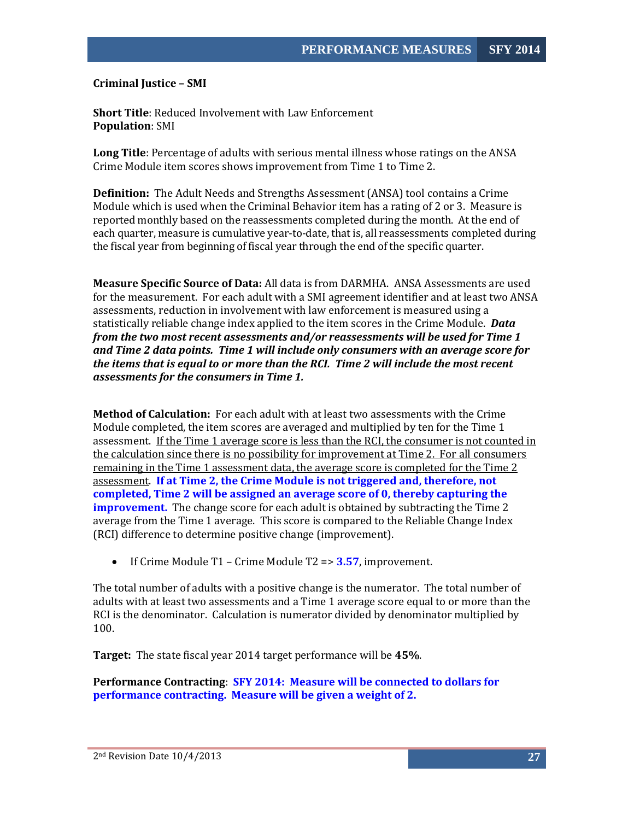<span id="page-27-0"></span>**Criminal Justice – SMI**

**Short Title**: Reduced Involvement with Law Enforcement **Population**: SMI

**Long Title**: Percentage of adults with serious mental illness whose ratings on the ANSA Crime Module item scores shows improvement from Time 1 to Time 2.

**Definition:** The Adult Needs and Strengths Assessment (ANSA) tool contains a Crime Module which is used when the Criminal Behavior item has a rating of 2 or 3. Measure is reported monthly based on the reassessments completed during the month. At the end of each quarter, measure is cumulative year-to-date, that is, all reassessments completed during the fiscal year from beginning of fiscal year through the end of the specific quarter.

**Measure Specific Source of Data:** All data is from DARMHA. ANSA Assessments are used for the measurement. For each adult with a SMI agreement identifier and at least two ANSA assessments, reduction in involvement with law enforcement is measured using a statistically reliable change index applied to the item scores in the Crime Module. *Data from the two most recent assessments and/or reassessments will be used for Time 1 and Time 2 data points. Time 1 will include only consumers with an average score for the items that is equal to or more than the RCI. Time 2 will include the most recent assessments for the consumers in Time 1.*

**Method of Calculation:** For each adult with at least two assessments with the Crime Module completed, the item scores are averaged and multiplied by ten for the Time 1 assessment. If the Time 1 average score is less than the RCI, the consumer is not counted in the calculation since there is no possibility for improvement at Time 2. For all consumers remaining in the Time 1 assessment data, the average score is completed for the Time 2 assessment. **If at Time 2, the Crime Module is not triggered and, therefore, not completed, Time 2 will be assigned an average score of 0, thereby capturing the improvement.** The change score for each adult is obtained by subtracting the Time 2 average from the Time 1 average. This score is compared to the Reliable Change Index (RCI) difference to determine positive change (improvement).

• If Crime Module T1 – Crime Module T2 => **3.57**, improvement.

The total number of adults with a positive change is the numerator. The total number of adults with at least two assessments and a Time 1 average score equal to or more than the RCI is the denominator. Calculation is numerator divided by denominator multiplied by 100.

**Target:** The state fiscal year 2014 target performance will be **45%**.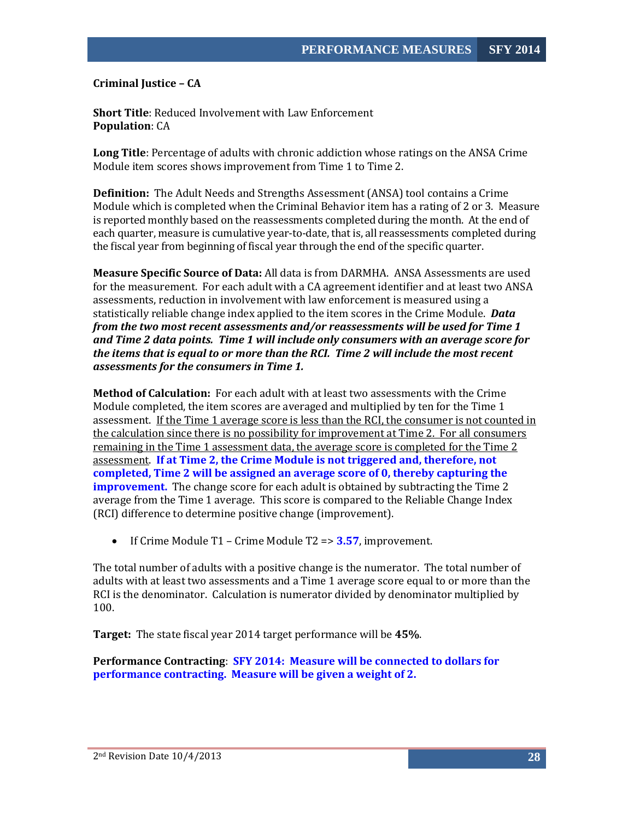<span id="page-28-0"></span>**Criminal Justice – CA** 

**Short Title**: Reduced Involvement with Law Enforcement **Population**: CA

**Long Title**: Percentage of adults with chronic addiction whose ratings on the ANSA Crime Module item scores shows improvement from Time 1 to Time 2.

**Definition:** The Adult Needs and Strengths Assessment (ANSA) tool contains a Crime Module which is completed when the Criminal Behavior item has a rating of 2 or 3. Measure is reported monthly based on the reassessments completed during the month. At the end of each quarter, measure is cumulative year-to-date, that is, all reassessments completed during the fiscal year from beginning of fiscal year through the end of the specific quarter.

**Measure Specific Source of Data:** All data is from DARMHA. ANSA Assessments are used for the measurement. For each adult with a CA agreement identifier and at least two ANSA assessments, reduction in involvement with law enforcement is measured using a statistically reliable change index applied to the item scores in the Crime Module. *Data from the two most recent assessments and/or reassessments will be used for Time 1 and Time 2 data points. Time 1 will include only consumers with an average score for the items that is equal to or more than the RCI. Time 2 will include the most recent assessments for the consumers in Time 1.*

**Method of Calculation:** For each adult with at least two assessments with the Crime Module completed, the item scores are averaged and multiplied by ten for the Time 1 assessment. If the Time 1 average score is less than the RCI, the consumer is not counted in the calculation since there is no possibility for improvement at Time 2. For all consumers remaining in the Time 1 assessment data, the average score is completed for the Time 2 assessment. **If at Time 2, the Crime Module is not triggered and, therefore, not completed, Time 2 will be assigned an average score of 0, thereby capturing the improvement.** The change score for each adult is obtained by subtracting the Time 2 average from the Time 1 average. This score is compared to the Reliable Change Index (RCI) difference to determine positive change (improvement).

• If Crime Module T1 – Crime Module T2 => **3.57**, improvement.

The total number of adults with a positive change is the numerator. The total number of adults with at least two assessments and a Time 1 average score equal to or more than the RCI is the denominator. Calculation is numerator divided by denominator multiplied by 100.

**Target:** The state fiscal year 2014 target performance will be **45%**.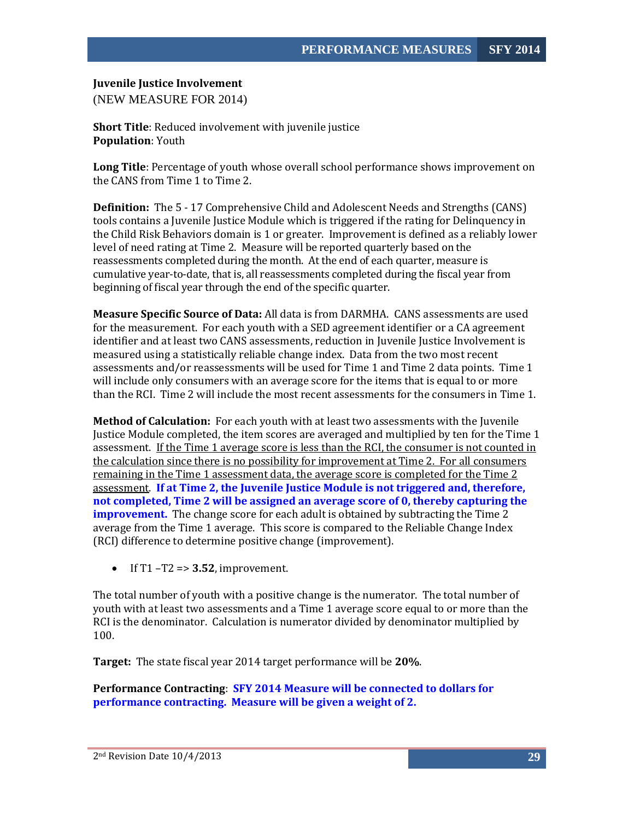#### <span id="page-29-0"></span>**Juvenile Justice Involvement**

(NEW MEASURE FOR 2014)

**Short Title**: Reduced involvement with juvenile justice **Population**: Youth

**Long Title**: Percentage of youth whose overall school performance shows improvement on the CANS from Time 1 to Time 2.

**Definition:** The 5 - 17 Comprehensive Child and Adolescent Needs and Strengths (CANS) tools contains a Juvenile Justice Module which is triggered if the rating for Delinquency in the Child Risk Behaviors domain is 1 or greater. Improvement is defined as a reliably lower level of need rating at Time 2. Measure will be reported quarterly based on the reassessments completed during the month. At the end of each quarter, measure is cumulative year-to-date, that is, all reassessments completed during the fiscal year from beginning of fiscal year through the end of the specific quarter.

**Measure Specific Source of Data:** All data is from DARMHA. CANS assessments are used for the measurement. For each youth with a SED agreement identifier or a CA agreement identifier and at least two CANS assessments, reduction in Juvenile Justice Involvement is measured using a statistically reliable change index. Data from the two most recent assessments and/or reassessments will be used for Time 1 and Time 2 data points. Time 1 will include only consumers with an average score for the items that is equal to or more than the RCI. Time 2 will include the most recent assessments for the consumers in Time 1.

**Method of Calculation:** For each youth with at least two assessments with the Juvenile Justice Module completed, the item scores are averaged and multiplied by ten for the Time 1 assessment. If the Time 1 average score is less than the RCI, the consumer is not counted in the calculation since there is no possibility for improvement at Time 2. For all consumers remaining in the Time 1 assessment data, the average score is completed for the Time 2 assessment. **If at Time 2, the Juvenile Justice Module is not triggered and, therefore, not completed, Time 2 will be assigned an average score of 0, thereby capturing the improvement.** The change score for each adult is obtained by subtracting the Time 2 average from the Time 1 average. This score is compared to the Reliable Change Index (RCI) difference to determine positive change (improvement).

• If  $T1 - T2 \Rightarrow 3.52$ , improvement.

The total number of youth with a positive change is the numerator. The total number of youth with at least two assessments and a Time 1 average score equal to or more than the RCI is the denominator. Calculation is numerator divided by denominator multiplied by 100.

**Target:** The state fiscal year 2014 target performance will be **20%**.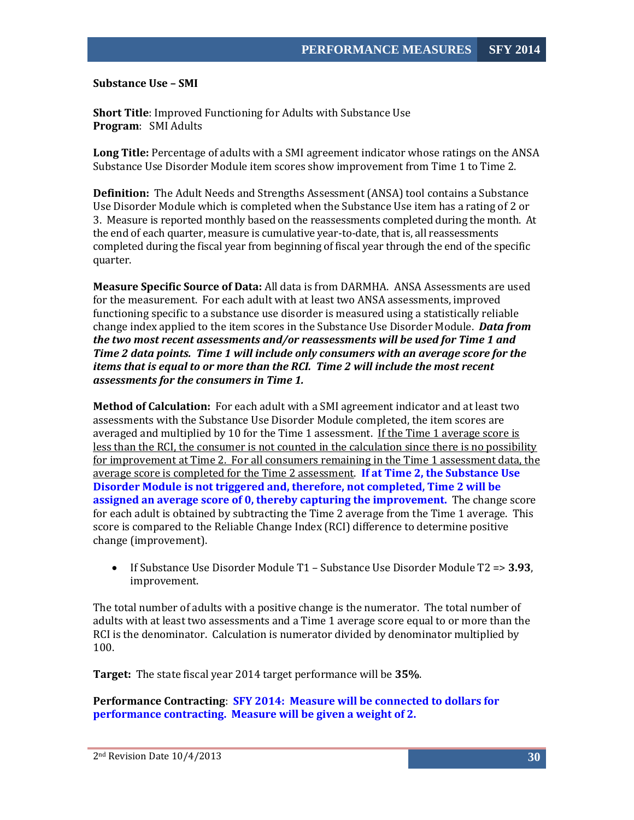<span id="page-30-0"></span>**Substance Use – SMI** 

**Short Title**: Improved Functioning for Adults with Substance Use **Program**: SMI Adults

**Long Title:** Percentage of adults with a SMI agreement indicator whose ratings on the ANSA Substance Use Disorder Module item scores show improvement from Time 1 to Time 2.

**Definition:** The Adult Needs and Strengths Assessment (ANSA) tool contains a Substance Use Disorder Module which is completed when the Substance Use item has a rating of 2 or 3. Measure is reported monthly based on the reassessments completed during the month. At the end of each quarter, measure is cumulative year-to-date, that is, all reassessments completed during the fiscal year from beginning of fiscal year through the end of the specific quarter.

**Measure Specific Source of Data:** All data is from DARMHA. ANSA Assessments are used for the measurement. For each adult with at least two ANSA assessments, improved functioning specific to a substance use disorder is measured using a statistically reliable change index applied to the item scores in the Substance Use Disorder Module. *Data from the two most recent assessments and/or reassessments will be used for Time 1 and Time 2 data points. Time 1 will include only consumers with an average score for the items that is equal to or more than the RCI. Time 2 will include the most recent assessments for the consumers in Time 1.*

**Method of Calculation:** For each adult with a SMI agreement indicator and at least two assessments with the Substance Use Disorder Module completed, the item scores are averaged and multiplied by 10 for the Time 1 assessment. If the Time 1 average score is less than the RCI, the consumer is not counted in the calculation since there is no possibility for improvement at Time 2. For all consumers remaining in the Time 1 assessment data, the average score is completed for the Time 2 assessment. **If at Time 2, the Substance Use Disorder Module is not triggered and, therefore, not completed, Time 2 will be assigned an average score of 0, thereby capturing the improvement.** The change score for each adult is obtained by subtracting the Time 2 average from the Time 1 average. This score is compared to the Reliable Change Index (RCI) difference to determine positive change (improvement).

• If Substance Use Disorder Module T1 – Substance Use Disorder Module T2 => **3.93**, improvement.

The total number of adults with a positive change is the numerator. The total number of adults with at least two assessments and a Time 1 average score equal to or more than the RCI is the denominator. Calculation is numerator divided by denominator multiplied by 100.

**Target:** The state fiscal year 2014 target performance will be **35%**.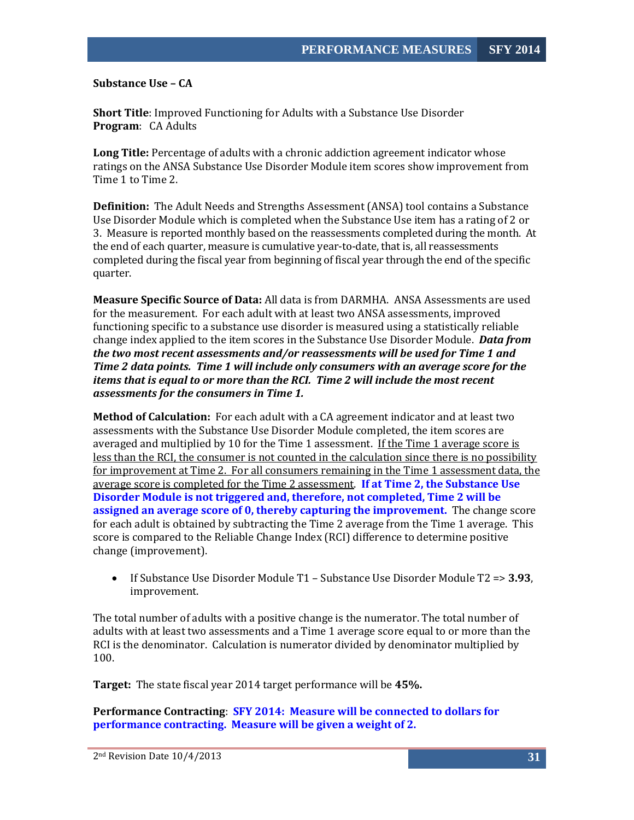<span id="page-31-0"></span>**Substance Use – CA** 

**Short Title**: Improved Functioning for Adults with a Substance Use Disorder **Program**: CA Adults

**Long Title:** Percentage of adults with a chronic addiction agreement indicator whose ratings on the ANSA Substance Use Disorder Module item scores show improvement from Time 1 to Time 2.

**Definition:** The Adult Needs and Strengths Assessment (ANSA) tool contains a Substance Use Disorder Module which is completed when the Substance Use item has a rating of 2 or 3. Measure is reported monthly based on the reassessments completed during the month. At the end of each quarter, measure is cumulative year-to-date, that is, all reassessments completed during the fiscal year from beginning of fiscal year through the end of the specific quarter.

**Measure Specific Source of Data:** All data is from DARMHA. ANSA Assessments are used for the measurement. For each adult with at least two ANSA assessments, improved functioning specific to a substance use disorder is measured using a statistically reliable change index applied to the item scores in the Substance Use Disorder Module. *Data from the two most recent assessments and/or reassessments will be used for Time 1 and Time 2 data points. Time 1 will include only consumers with an average score for the items that is equal to or more than the RCI. Time 2 will include the most recent assessments for the consumers in Time 1.*

**Method of Calculation:** For each adult with a CA agreement indicator and at least two assessments with the Substance Use Disorder Module completed, the item scores are averaged and multiplied by 10 for the Time 1 assessment. If the Time 1 average score is less than the RCI, the consumer is not counted in the calculation since there is no possibility for improvement at Time 2. For all consumers remaining in the Time 1 assessment data, the average score is completed for the Time 2 assessment. **If at Time 2, the Substance Use Disorder Module is not triggered and, therefore, not completed, Time 2 will be assigned an average score of 0, thereby capturing the improvement.** The change score for each adult is obtained by subtracting the Time 2 average from the Time 1 average. This score is compared to the Reliable Change Index (RCI) difference to determine positive change (improvement).

• If Substance Use Disorder Module T1 – Substance Use Disorder Module T2 => **3.93**, improvement.

The total number of adults with a positive change is the numerator. The total number of adults with at least two assessments and a Time 1 average score equal to or more than the RCI is the denominator. Calculation is numerator divided by denominator multiplied by 100.

**Target:** The state fiscal year 2014 target performance will be **45%.**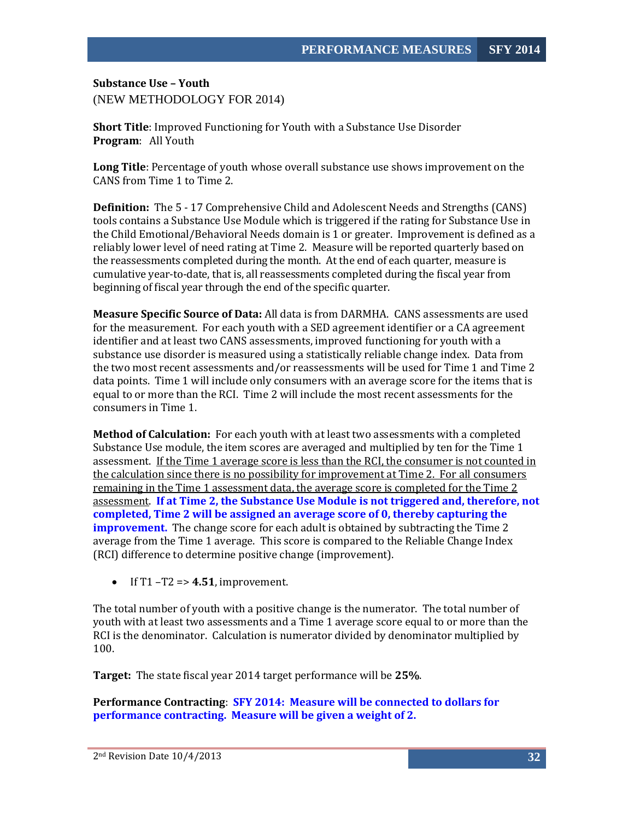<span id="page-32-0"></span>**Substance Use – Youth** (NEW METHODOLOGY FOR 2014)

**Short Title**: Improved Functioning for Youth with a Substance Use Disorder **Program**: All Youth

**Long Title**: Percentage of youth whose overall substance use shows improvement on the CANS from Time 1 to Time 2.

**Definition:** The 5 - 17 Comprehensive Child and Adolescent Needs and Strengths (CANS) tools contains a Substance Use Module which is triggered if the rating for Substance Use in the Child Emotional/Behavioral Needs domain is 1 or greater. Improvement is defined as a reliably lower level of need rating at Time 2. Measure will be reported quarterly based on the reassessments completed during the month. At the end of each quarter, measure is cumulative year-to-date, that is, all reassessments completed during the fiscal year from beginning of fiscal year through the end of the specific quarter.

**Measure Specific Source of Data:** All data is from DARMHA. CANS assessments are used for the measurement. For each youth with a SED agreement identifier or a CA agreement identifier and at least two CANS assessments, improved functioning for youth with a substance use disorder is measured using a statistically reliable change index. Data from the two most recent assessments and/or reassessments will be used for Time 1 and Time 2 data points. Time 1 will include only consumers with an average score for the items that is equal to or more than the RCI. Time 2 will include the most recent assessments for the consumers in Time 1.

**Method of Calculation:** For each youth with at least two assessments with a completed Substance Use module, the item scores are averaged and multiplied by ten for the Time 1 assessment. If the Time 1 average score is less than the RCI, the consumer is not counted in the calculation since there is no possibility for improvement at Time 2. For all consumers remaining in the Time 1 assessment data, the average score is completed for the Time 2 assessment. **If at Time 2, the Substance Use Module is not triggered and, therefore, not completed, Time 2 will be assigned an average score of 0, thereby capturing the improvement.** The change score for each adult is obtained by subtracting the Time 2 average from the Time 1 average. This score is compared to the Reliable Change Index (RCI) difference to determine positive change (improvement).

• If  $T1 - T2 \Rightarrow 4.51$ , improvement.

The total number of youth with a positive change is the numerator. The total number of youth with at least two assessments and a Time 1 average score equal to or more than the RCI is the denominator. Calculation is numerator divided by denominator multiplied by 100.

**Target:** The state fiscal year 2014 target performance will be **25%**.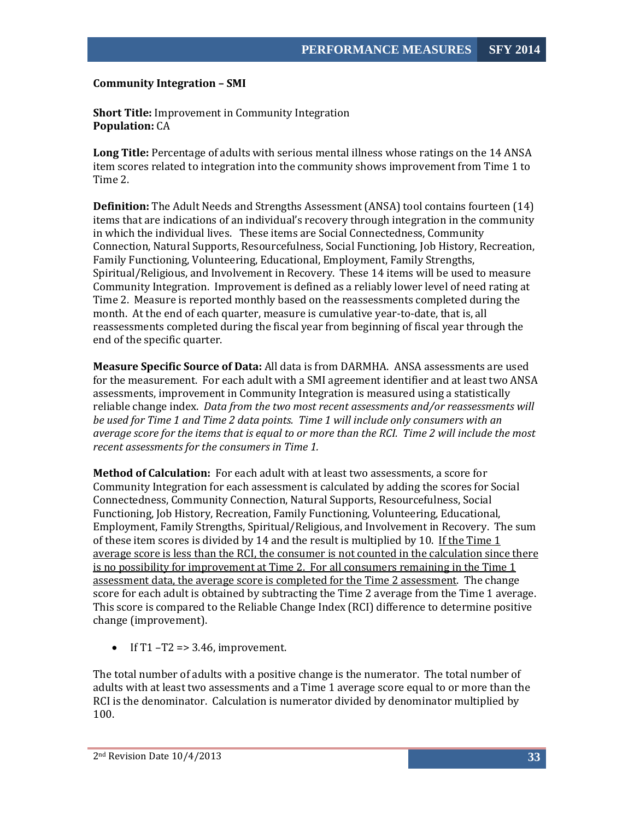#### <span id="page-33-0"></span>**Community Integration – SMI**

**Short Title:** Improvement in Community Integration **Population:** CA

**Long Title:** Percentage of adults with serious mental illness whose ratings on the 14 ANSA item scores related to integration into the community shows improvement from Time 1 to Time 2.

**Definition:** The Adult Needs and Strengths Assessment (ANSA) tool contains fourteen (14) items that are indications of an individual's recovery through integration in the community in which the individual lives. These items are Social Connectedness, Community Connection, Natural Supports, Resourcefulness, Social Functioning, Job History, Recreation, Family Functioning, Volunteering, Educational, Employment, Family Strengths, Spiritual/Religious, and Involvement in Recovery. These 14 items will be used to measure Community Integration. Improvement is defined as a reliably lower level of need rating at Time 2. Measure is reported monthly based on the reassessments completed during the month. At the end of each quarter, measure is cumulative year-to-date, that is, all reassessments completed during the fiscal year from beginning of fiscal year through the end of the specific quarter.

**Measure Specific Source of Data:** All data is from DARMHA. ANSA assessments are used for the measurement. For each adult with a SMI agreement identifier and at least two ANSA assessments, improvement in Community Integration is measured using a statistically reliable change index. *Data from the two most recent assessments and/or reassessments will be used for Time 1 and Time 2 data points. Time 1 will include only consumers with an average score for the items that is equal to or more than the RCI. Time 2 will include the most recent assessments for the consumers in Time 1.*

**Method of Calculation:** For each adult with at least two assessments, a score for Community Integration for each assessment is calculated by adding the scores for Social Connectedness, Community Connection, Natural Supports, Resourcefulness, Social Functioning, Job History, Recreation, Family Functioning, Volunteering, Educational, Employment, Family Strengths, Spiritual/Religious, and Involvement in Recovery. The sum of these item scores is divided by 14 and the result is multiplied by 10. If the Time 1 average score is less than the RCI, the consumer is not counted in the calculation since there is no possibility for improvement at Time 2. For all consumers remaining in the Time 1 assessment data, the average score is completed for the Time 2 assessment. The change score for each adult is obtained by subtracting the Time 2 average from the Time 1 average. This score is compared to the Reliable Change Index (RCI) difference to determine positive change (improvement).

• If T1 –T2 => 3.46, improvement.

The total number of adults with a positive change is the numerator. The total number of adults with at least two assessments and a Time 1 average score equal to or more than the RCI is the denominator. Calculation is numerator divided by denominator multiplied by 100.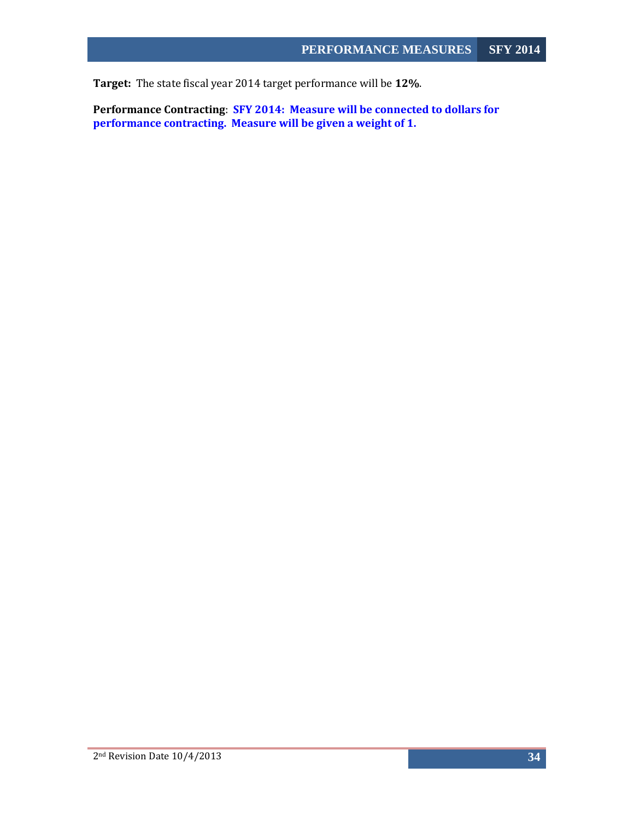**Target:** The state fiscal year 2014 target performance will be **12%**.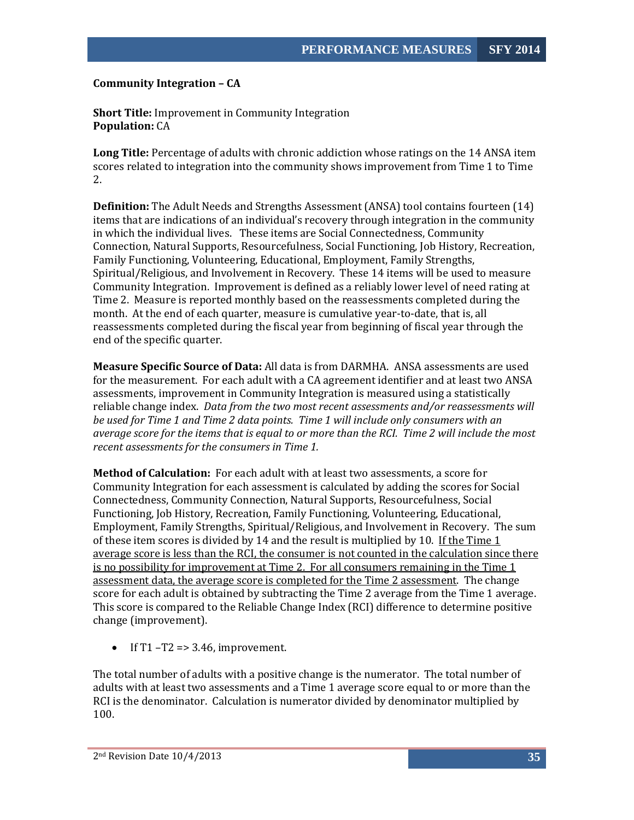## <span id="page-35-0"></span>**Community Integration – CA**

**Short Title:** Improvement in Community Integration **Population:** CA

**Long Title:** Percentage of adults with chronic addiction whose ratings on the 14 ANSA item scores related to integration into the community shows improvement from Time 1 to Time 2.

**Definition:** The Adult Needs and Strengths Assessment (ANSA) tool contains fourteen (14) items that are indications of an individual's recovery through integration in the community in which the individual lives. These items are Social Connectedness, Community Connection, Natural Supports, Resourcefulness, Social Functioning, Job History, Recreation, Family Functioning, Volunteering, Educational, Employment, Family Strengths, Spiritual/Religious, and Involvement in Recovery. These 14 items will be used to measure Community Integration. Improvement is defined as a reliably lower level of need rating at Time 2. Measure is reported monthly based on the reassessments completed during the month. At the end of each quarter, measure is cumulative year-to-date, that is, all reassessments completed during the fiscal year from beginning of fiscal year through the end of the specific quarter.

**Measure Specific Source of Data:** All data is from DARMHA. ANSA assessments are used for the measurement. For each adult with a CA agreement identifier and at least two ANSA assessments, improvement in Community Integration is measured using a statistically reliable change index. *Data from the two most recent assessments and/or reassessments will be used for Time 1 and Time 2 data points. Time 1 will include only consumers with an average score for the items that is equal to or more than the RCI. Time 2 will include the most recent assessments for the consumers in Time 1.*

**Method of Calculation:** For each adult with at least two assessments, a score for Community Integration for each assessment is calculated by adding the scores for Social Connectedness, Community Connection, Natural Supports, Resourcefulness, Social Functioning, Job History, Recreation, Family Functioning, Volunteering, Educational, Employment, Family Strengths, Spiritual/Religious, and Involvement in Recovery. The sum of these item scores is divided by 14 and the result is multiplied by 10. If the Time 1 average score is less than the RCI, the consumer is not counted in the calculation since there is no possibility for improvement at Time 2. For all consumers remaining in the Time 1 assessment data, the average score is completed for the Time 2 assessment. The change score for each adult is obtained by subtracting the Time 2 average from the Time 1 average. This score is compared to the Reliable Change Index (RCI) difference to determine positive change (improvement).

• If T1 –T2 => 3.46, improvement.

The total number of adults with a positive change is the numerator. The total number of adults with at least two assessments and a Time 1 average score equal to or more than the RCI is the denominator. Calculation is numerator divided by denominator multiplied by 100.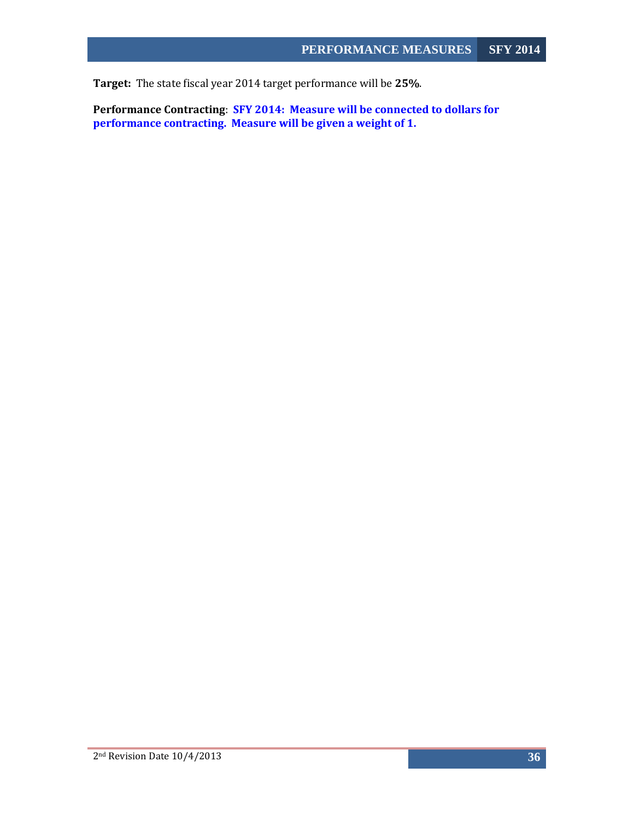**Target:** The state fiscal year 2014 target performance will be **25%**.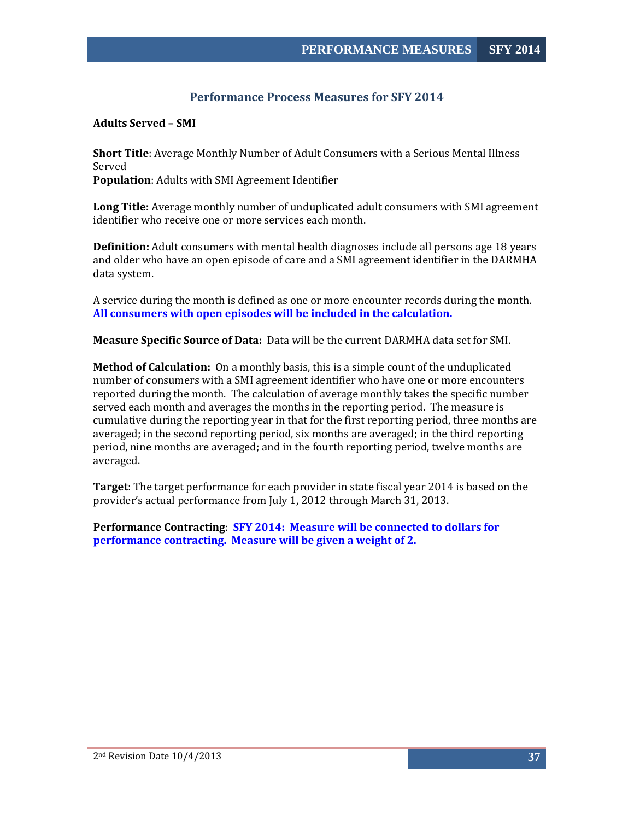# **Performance Process Measures for SFY 2014**

<span id="page-37-1"></span><span id="page-37-0"></span>**Adults Served – SMI** 

**Short Title**: Average Monthly Number of Adult Consumers with a Serious Mental Illness Served **Population**: Adults with SMI Agreement Identifier

**Long Title:** Average monthly number of unduplicated adult consumers with SMI agreement identifier who receive one or more services each month.

**Definition:** Adult consumers with mental health diagnoses include all persons age 18 years and older who have an open episode of care and a SMI agreement identifier in the DARMHA data system.

A service during the month is defined as one or more encounter records during the month. **All consumers with open episodes will be included in the calculation.**

**Measure Specific Source of Data:** Data will be the current DARMHA data set for SMI.

**Method of Calculation:** On a monthly basis, this is a simple count of the unduplicated number of consumers with a SMI agreement identifier who have one or more encounters reported during the month. The calculation of average monthly takes the specific number served each month and averages the months in the reporting period. The measure is cumulative during the reporting year in that for the first reporting period, three months are averaged; in the second reporting period, six months are averaged; in the third reporting period, nine months are averaged; and in the fourth reporting period, twelve months are averaged.

**Target**: The target performance for each provider in state fiscal year 2014 is based on the provider's actual performance from July 1, 2012 through March 31, 2013.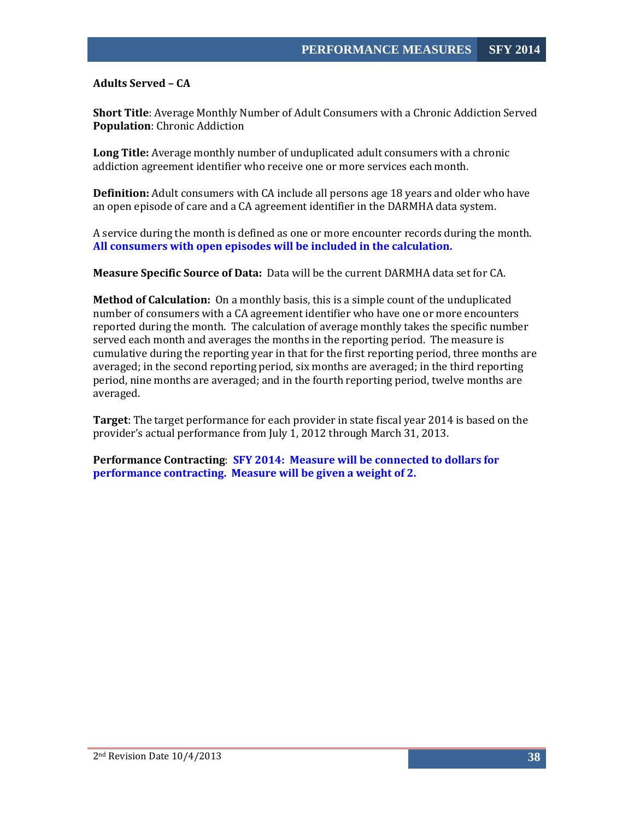<span id="page-38-0"></span>**Adults Served – CA** 

**Short Title**: Average Monthly Number of Adult Consumers with a Chronic Addiction Served **Population**: Chronic Addiction

**Long Title:** Average monthly number of unduplicated adult consumers with a chronic addiction agreement identifier who receive one or more services each month.

**Definition:** Adult consumers with CA include all persons age 18 years and older who have an open episode of care and a CA agreement identifier in the DARMHA data system.

A service during the month is defined as one or more encounter records during the month. **All consumers with open episodes will be included in the calculation.**

**Measure Specific Source of Data:** Data will be the current DARMHA data set for CA.

**Method of Calculation:** On a monthly basis, this is a simple count of the unduplicated number of consumers with a CA agreement identifier who have one or more encounters reported during the month. The calculation of average monthly takes the specific number served each month and averages the months in the reporting period. The measure is cumulative during the reporting year in that for the first reporting period, three months are averaged; in the second reporting period, six months are averaged; in the third reporting period, nine months are averaged; and in the fourth reporting period, twelve months are averaged.

**Target**: The target performance for each provider in state fiscal year 2014 is based on the provider's actual performance from July 1, 2012 through March 31, 2013.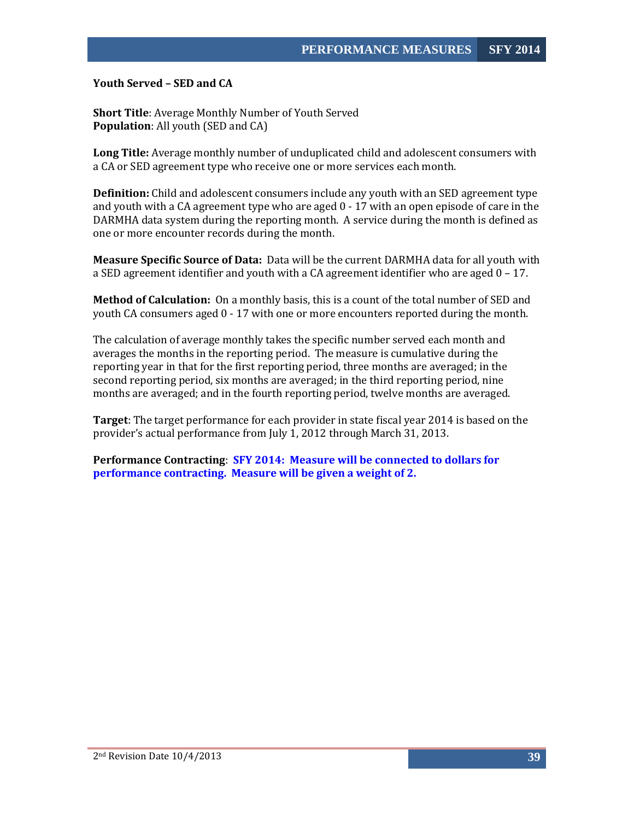<span id="page-39-0"></span>**Youth Served – SED and CA**

**Short Title**: Average Monthly Number of Youth Served **Population**: All youth (SED and CA)

**Long Title:** Average monthly number of unduplicated child and adolescent consumers with a CA or SED agreement type who receive one or more services each month.

**Definition:** Child and adolescent consumers include any youth with an SED agreement type and youth with a CA agreement type who are aged  $0 - 17$  with an open episode of care in the DARMHA data system during the reporting month. A service during the month is defined as one or more encounter records during the month.

**Measure Specific Source of Data:** Data will be the current DARMHA data for all youth with a SED agreement identifier and youth with a CA agreement identifier who are aged 0 – 17.

**Method of Calculation:** On a monthly basis, this is a count of the total number of SED and youth CA consumers aged 0 - 17 with one or more encounters reported during the month.

The calculation of average monthly takes the specific number served each month and averages the months in the reporting period. The measure is cumulative during the reporting year in that for the first reporting period, three months are averaged; in the second reporting period, six months are averaged; in the third reporting period, nine months are averaged; and in the fourth reporting period, twelve months are averaged.

**Target**: The target performance for each provider in state fiscal year 2014 is based on the provider's actual performance from July 1, 2012 through March 31, 2013.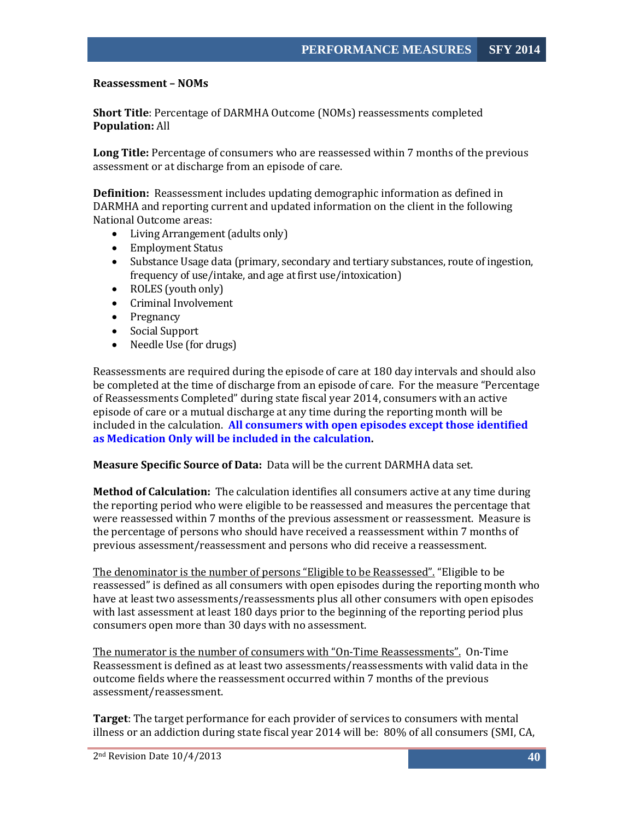#### <span id="page-40-0"></span>**Reassessment – NOMs**

**Short Title**: Percentage of DARMHA Outcome (NOMs) reassessments completed **Population:** All

**Long Title:** Percentage of consumers who are reassessed within 7 months of the previous assessment or at discharge from an episode of care.

**Definition:** Reassessment includes updating demographic information as defined in DARMHA and reporting current and updated information on the client in the following National Outcome areas:

- Living Arrangement (adults only)
- Employment Status
- Substance Usage data (primary, secondary and tertiary substances, route of ingestion, frequency of use/intake, and age at first use/intoxication)
- ROLES (youth only)
- Criminal Involvement
- Pregnancy
- Social Support
- Needle Use (for drugs)

Reassessments are required during the episode of care at 180 day intervals and should also be completed at the time of discharge from an episode of care. For the measure "Percentage of Reassessments Completed" during state fiscal year 2014, consumers with an active episode of care or a mutual discharge at any time during the reporting month will be included in the calculation. **All consumers with open episodes except those identified as Medication Only will be included in the calculation.**

#### **Measure Specific Source of Data:** Data will be the current DARMHA data set.

**Method of Calculation:** The calculation identifies all consumers active at any time during the reporting period who were eligible to be reassessed and measures the percentage that were reassessed within 7 months of the previous assessment or reassessment. Measure is the percentage of persons who should have received a reassessment within 7 months of previous assessment/reassessment and persons who did receive a reassessment.

The denominator is the number of persons "Eligible to be Reassessed". "Eligible to be reassessed" is defined as all consumers with open episodes during the reporting month who have at least two assessments/reassessments plus all other consumers with open episodes with last assessment at least 180 days prior to the beginning of the reporting period plus consumers open more than 30 days with no assessment.

The numerator is the number of consumers with "On-Time Reassessments". On-Time Reassessment is defined as at least two assessments/reassessments with valid data in the outcome fields where the reassessment occurred within 7 months of the previous assessment/reassessment.

**Target**: The target performance for each provider of services to consumers with mental illness or an addiction during state fiscal year 2014 will be: 80% of all consumers (SMI, CA,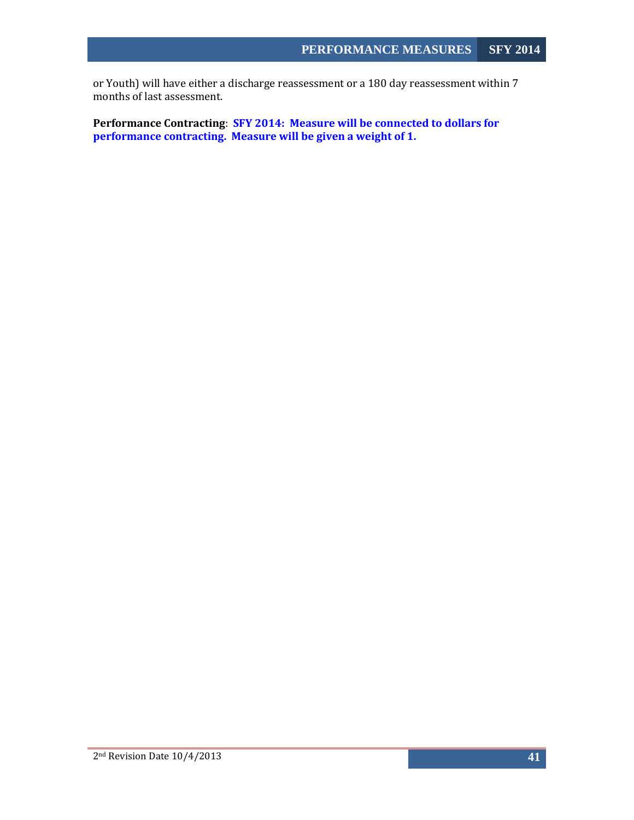or Youth) will have either a discharge reassessment or a 180 day reassessment within 7 months of last assessment.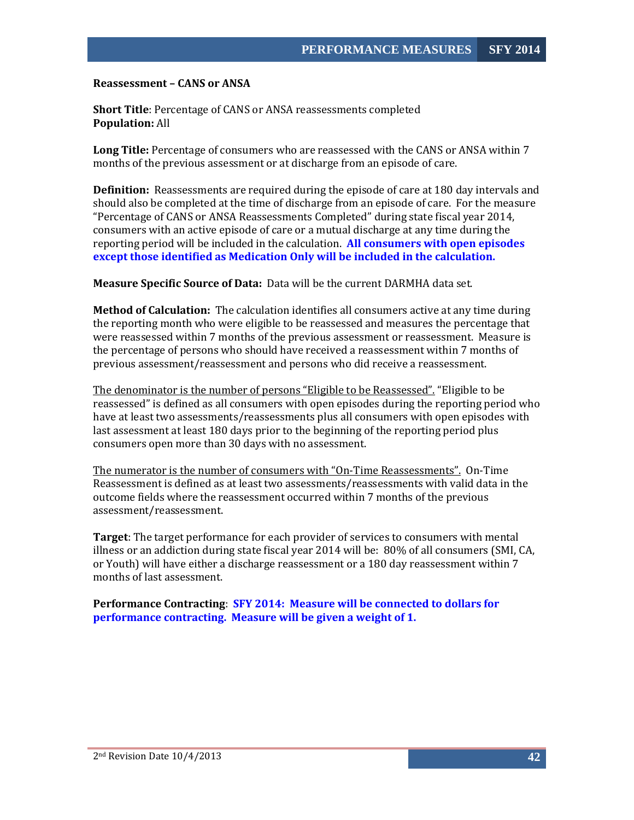<span id="page-42-0"></span>**Reassessment – CANS or ANSA**

**Short Title**: Percentage of CANS or ANSA reassessments completed **Population:** All

**Long Title:** Percentage of consumers who are reassessed with the CANS or ANSA within 7 months of the previous assessment or at discharge from an episode of care.

**Definition:** Reassessments are required during the episode of care at 180 day intervals and should also be completed at the time of discharge from an episode of care. For the measure "Percentage of CANS or ANSA Reassessments Completed" during state fiscal year 2014, consumers with an active episode of care or a mutual discharge at any time during the reporting period will be included in the calculation. **All consumers with open episodes except those identified as Medication Only will be included in the calculation.** 

**Measure Specific Source of Data:** Data will be the current DARMHA data set.

**Method of Calculation:** The calculation identifies all consumers active at any time during the reporting month who were eligible to be reassessed and measures the percentage that were reassessed within 7 months of the previous assessment or reassessment. Measure is the percentage of persons who should have received a reassessment within 7 months of previous assessment/reassessment and persons who did receive a reassessment.

The denominator is the number of persons "Eligible to be Reassessed". "Eligible to be reassessed" is defined as all consumers with open episodes during the reporting period who have at least two assessments/reassessments plus all consumers with open episodes with last assessment at least 180 days prior to the beginning of the reporting period plus consumers open more than 30 days with no assessment.

The numerator is the number of consumers with "On-Time Reassessments". On-Time Reassessment is defined as at least two assessments/reassessments with valid data in the outcome fields where the reassessment occurred within 7 months of the previous assessment/reassessment.

**Target**: The target performance for each provider of services to consumers with mental illness or an addiction during state fiscal year 2014 will be: 80% of all consumers (SMI, CA, or Youth) will have either a discharge reassessment or a 180 day reassessment within 7 months of last assessment.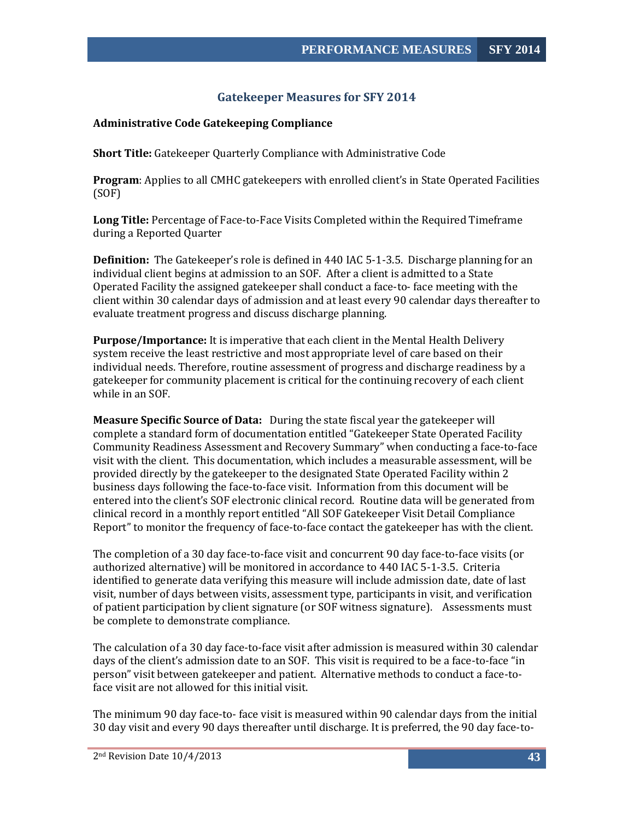# **Gatekeeper Measures for SFY 2014**

#### <span id="page-43-1"></span><span id="page-43-0"></span>**Administrative Code Gatekeeping Compliance**

**Short Title:** Gatekeeper Quarterly Compliance with Administrative Code

**Program**: Applies to all CMHC gatekeepers with enrolled client's in State Operated Facilities (SOF)

**Long Title:** Percentage of Face-to-Face Visits Completed within the Required Timeframe during a Reported Quarter

**Definition:** The Gatekeeper's role is defined in 440 IAC 5-1-3.5. Discharge planning for an individual client begins at admission to an SOF. After a client is admitted to a State Operated Facility the assigned gatekeeper shall conduct a face-to- face meeting with the client within 30 calendar days of admission and at least every 90 calendar days thereafter to evaluate treatment progress and discuss discharge planning.

**Purpose/Importance:** It is imperative that each client in the Mental Health Delivery system receive the least restrictive and most appropriate level of care based on their individual needs. Therefore, routine assessment of progress and discharge readiness by a gatekeeper for community placement is critical for the continuing recovery of each client while in an SOF.

**Measure Specific Source of Data:** During the state fiscal year the gatekeeper will complete a standard form of documentation entitled "Gatekeeper State Operated Facility Community Readiness Assessment and Recovery Summary" when conducting a face-to-face visit with the client. This documentation, which includes a measurable assessment, will be provided directly by the gatekeeper to the designated State Operated Facility within 2 business days following the face-to-face visit. Information from this document will be entered into the client's SOF electronic clinical record. Routine data will be generated from clinical record in a monthly report entitled "All SOF Gatekeeper Visit Detail Compliance Report" to monitor the frequency of face-to-face contact the gatekeeper has with the client.

The completion of a 30 day face-to-face visit and concurrent 90 day face-to-face visits (or authorized alternative) will be monitored in accordance to 440 IAC 5-1-3.5. Criteria identified to generate data verifying this measure will include admission date, date of last visit, number of days between visits, assessment type, participants in visit, and verification of patient participation by client signature (or SOF witness signature). Assessments must be complete to demonstrate compliance.

The calculation of a 30 day face-to-face visit after admission is measured within 30 calendar days of the client's admission date to an SOF. This visit is required to be a face-to-face "in person" visit between gatekeeper and patient. Alternative methods to conduct a face-toface visit are not allowed for this initial visit.

The minimum 90 day face-to- face visit is measured within 90 calendar days from the initial 30 day visit and every 90 days thereafter until discharge. It is preferred, the 90 day face-to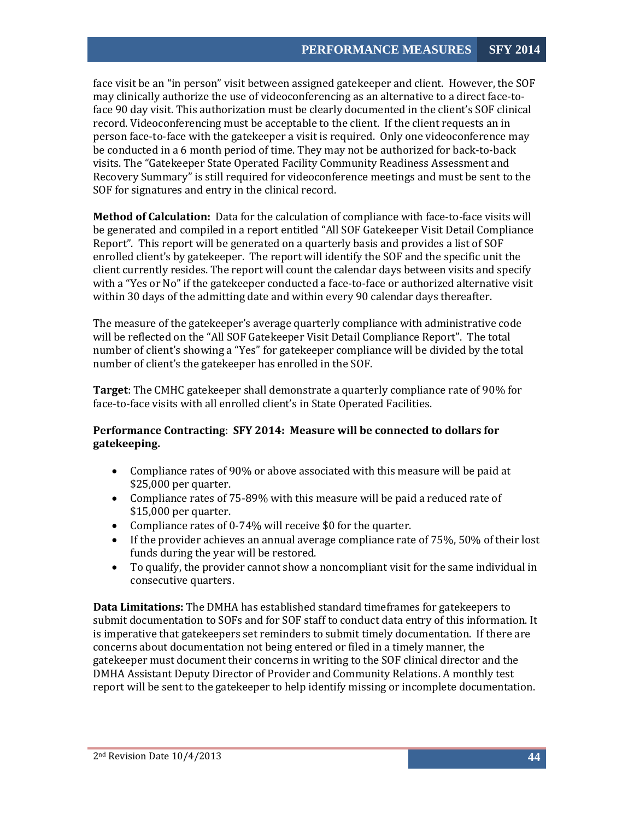face visit be an "in person" visit between assigned gatekeeper and client. However, the SOF may clinically authorize the use of videoconferencing as an alternative to a direct face-toface 90 day visit. This authorization must be clearly documented in the client's SOF clinical record. Videoconferencing must be acceptable to the client. If the client requests an in person face-to-face with the gatekeeper a visit is required. Only one videoconference may be conducted in a 6 month period of time. They may not be authorized for back-to-back visits. The "Gatekeeper State Operated Facility Community Readiness Assessment and Recovery Summary" is still required for videoconference meetings and must be sent to the SOF for signatures and entry in the clinical record.

**Method of Calculation:** Data for the calculation of compliance with face-to-face visits will be generated and compiled in a report entitled "All SOF Gatekeeper Visit Detail Compliance Report". This report will be generated on a quarterly basis and provides a list of SOF enrolled client's by gatekeeper. The report will identify the SOF and the specific unit the client currently resides. The report will count the calendar days between visits and specify with a "Yes or No" if the gatekeeper conducted a face-to-face or authorized alternative visit within 30 days of the admitting date and within every 90 calendar days thereafter.

The measure of the gatekeeper's average quarterly compliance with administrative code will be reflected on the "All SOF Gatekeeper Visit Detail Compliance Report". The total number of client's showing a "Yes" for gatekeeper compliance will be divided by the total number of client's the gatekeeper has enrolled in the SOF.

**Target**: The CMHC gatekeeper shall demonstrate a quarterly compliance rate of 90% for face-to-face visits with all enrolled client's in State Operated Facilities.

# **Performance Contracting**: **SFY 2014: Measure will be connected to dollars for gatekeeping.**

- Compliance rates of 90% or above associated with this measure will be paid at \$25,000 per quarter.
- Compliance rates of 75-89% with this measure will be paid a reduced rate of \$15,000 per quarter.
- Compliance rates of 0-74% will receive \$0 for the quarter.
- If the provider achieves an annual average compliance rate of 75%, 50% of their lost funds during the year will be restored.
- To qualify, the provider cannot show a noncompliant visit for the same individual in consecutive quarters.

**Data Limitations:** The DMHA has established standard timeframes for gatekeepers to submit documentation to SOFs and for SOF staff to conduct data entry of this information. It is imperative that gatekeepers set reminders to submit timely documentation. If there are concerns about documentation not being entered or filed in a timely manner, the gatekeeper must document their concerns in writing to the SOF clinical director and the DMHA Assistant Deputy Director of Provider and Community Relations. A monthly test report will be sent to the gatekeeper to help identify missing or incomplete documentation.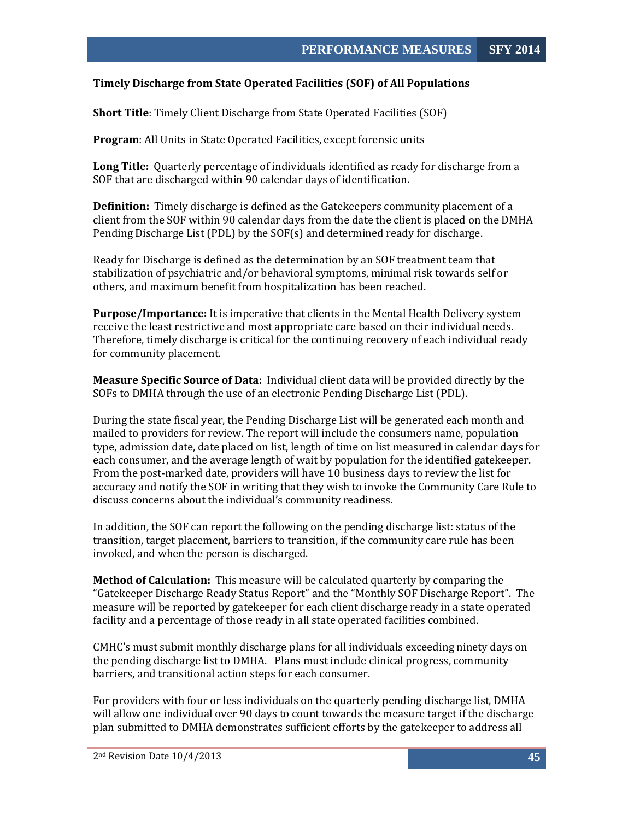#### <span id="page-45-0"></span>**Timely Discharge from State Operated Facilities (SOF) of All Populations**

**Short Title**: Timely Client Discharge from State Operated Facilities (SOF)

**Program**: All Units in State Operated Facilities, except forensic units

**Long Title:** Quarterly percentage of individuals identified as ready for discharge from a SOF that are discharged within 90 calendar days of identification.

**Definition:** Timely discharge is defined as the Gatekeepers community placement of a client from the SOF within 90 calendar days from the date the client is placed on the DMHA Pending Discharge List (PDL) by the SOF(s) and determined ready for discharge.

Ready for Discharge is defined as the determination by an SOF treatment team that stabilization of psychiatric and/or behavioral symptoms, minimal risk towards self or others, and maximum benefit from hospitalization has been reached.

**Purpose/Importance:** It is imperative that clients in the Mental Health Delivery system receive the least restrictive and most appropriate care based on their individual needs. Therefore, timely discharge is critical for the continuing recovery of each individual ready for community placement.

**Measure Specific Source of Data:** Individual client data will be provided directly by the SOFs to DMHA through the use of an electronic Pending Discharge List (PDL).

During the state fiscal year, the Pending Discharge List will be generated each month and mailed to providers for review. The report will include the consumers name, population type, admission date, date placed on list, length of time on list measured in calendar days for each consumer, and the average length of wait by population for the identified gatekeeper. From the post-marked date, providers will have 10 business days to review the list for accuracy and notify the SOF in writing that they wish to invoke the Community Care Rule to discuss concerns about the individual's community readiness.

In addition, the SOF can report the following on the pending discharge list: status of the transition, target placement, barriers to transition, if the community care rule has been invoked, and when the person is discharged.

**Method of Calculation:** This measure will be calculated quarterly by comparing the "Gatekeeper Discharge Ready Status Report" and the "Monthly SOF Discharge Report". The measure will be reported by gatekeeper for each client discharge ready in a state operated facility and a percentage of those ready in all state operated facilities combined.

CMHC's must submit monthly discharge plans for all individuals exceeding ninety days on the pending discharge list to DMHA. Plans must include clinical progress, community barriers, and transitional action steps for each consumer.

For providers with four or less individuals on the quarterly pending discharge list, DMHA will allow one individual over 90 days to count towards the measure target if the discharge plan submitted to DMHA demonstrates sufficient efforts by the gatekeeper to address all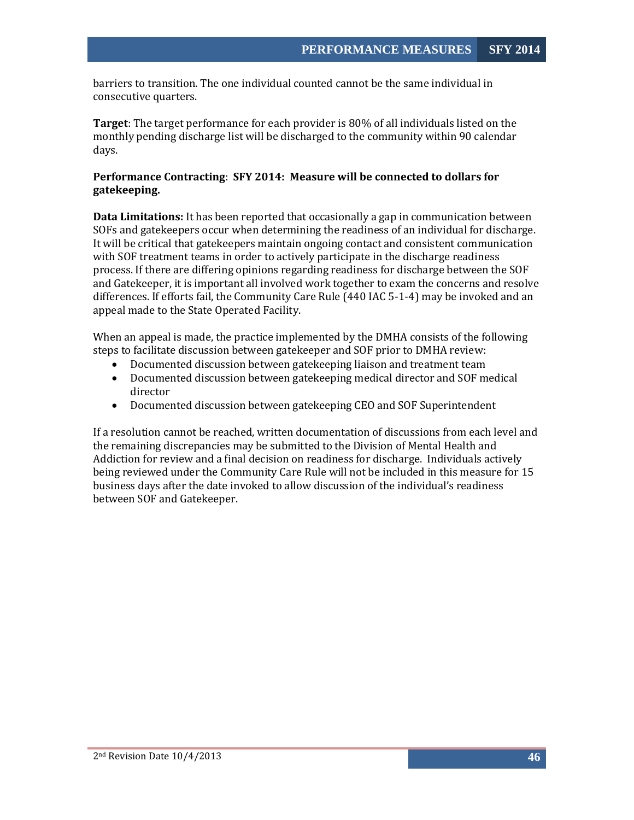barriers to transition. The one individual counted cannot be the same individual in consecutive quarters.

**Target**: The target performance for each provider is 80% of all individuals listed on the monthly pending discharge list will be discharged to the community within 90 calendar days.

## **Performance Contracting**: **SFY 2014: Measure will be connected to dollars for gatekeeping.**

**Data Limitations:** It has been reported that occasionally a gap in communication between SOFs and gatekeepers occur when determining the readiness of an individual for discharge. It will be critical that gatekeepers maintain ongoing contact and consistent communication with SOF treatment teams in order to actively participate in the discharge readiness process. If there are differing opinions regarding readiness for discharge between the SOF and Gatekeeper, it is important all involved work together to exam the concerns and resolve differences. If efforts fail, the Community Care Rule (440 IAC 5-1-4) may be invoked and an appeal made to the State Operated Facility.

When an appeal is made, the practice implemented by the DMHA consists of the following steps to facilitate discussion between gatekeeper and SOF prior to DMHA review:

- Documented discussion between gatekeeping liaison and treatment team
- Documented discussion between gatekeeping medical director and SOF medical director
- Documented discussion between gatekeeping CEO and SOF Superintendent

If a resolution cannot be reached, written documentation of discussions from each level and the remaining discrepancies may be submitted to the Division of Mental Health and Addiction for review and a final decision on readiness for discharge. Individuals actively being reviewed under the Community Care Rule will not be included in this measure for 15 business days after the date invoked to allow discussion of the individual's readiness between SOF and Gatekeeper.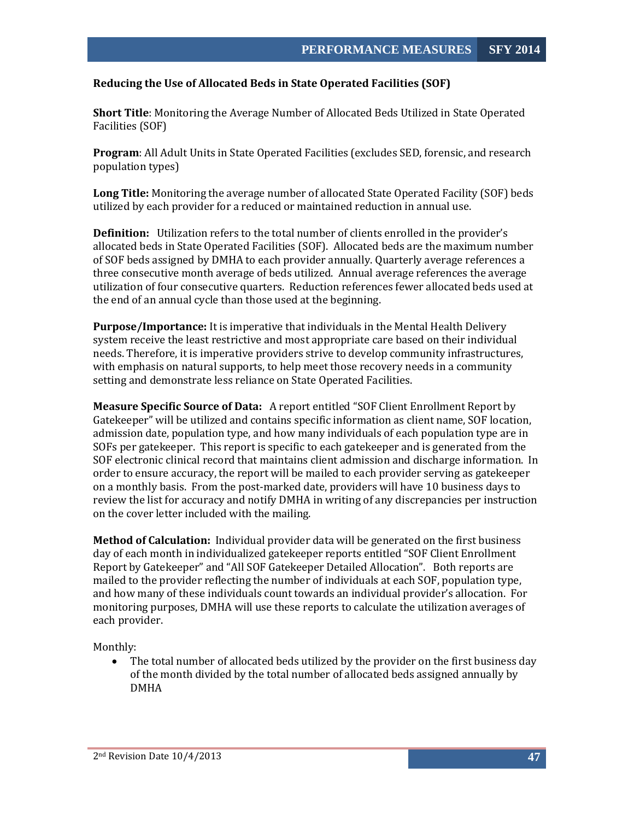## <span id="page-47-0"></span>**Reducing the Use of Allocated Beds in State Operated Facilities (SOF)**

**Short Title**: Monitoring the Average Number of Allocated Beds Utilized in State Operated Facilities (SOF)

**Program**: All Adult Units in State Operated Facilities (excludes SED, forensic, and research population types)

**Long Title:** Monitoring the average number of allocated State Operated Facility (SOF) beds utilized by each provider for a reduced or maintained reduction in annual use.

**Definition:** Utilization refers to the total number of clients enrolled in the provider's allocated beds in State Operated Facilities (SOF). Allocated beds are the maximum number of SOF beds assigned by DMHA to each provider annually. Quarterly average references a three consecutive month average of beds utilized. Annual average references the average utilization of four consecutive quarters. Reduction references fewer allocated beds used at the end of an annual cycle than those used at the beginning.

**Purpose/Importance:** It is imperative that individuals in the Mental Health Delivery system receive the least restrictive and most appropriate care based on their individual needs. Therefore, it is imperative providers strive to develop community infrastructures, with emphasis on natural supports, to help meet those recovery needs in a community setting and demonstrate less reliance on State Operated Facilities.

**Measure Specific Source of Data:** A report entitled "SOF Client Enrollment Report by Gatekeeper" will be utilized and contains specific information as client name, SOF location, admission date, population type, and how many individuals of each population type are in SOFs per gatekeeper. This report is specific to each gatekeeper and is generated from the SOF electronic clinical record that maintains client admission and discharge information. In order to ensure accuracy, the report will be mailed to each provider serving as gatekeeper on a monthly basis. From the post-marked date, providers will have 10 business days to review the list for accuracy and notify DMHA in writing of any discrepancies per instruction on the cover letter included with the mailing.

**Method of Calculation:** Individual provider data will be generated on the first business day of each month in individualized gatekeeper reports entitled "SOF Client Enrollment Report by Gatekeeper" and "All SOF Gatekeeper Detailed Allocation". Both reports are mailed to the provider reflecting the number of individuals at each SOF, population type, and how many of these individuals count towards an individual provider's allocation. For monitoring purposes, DMHA will use these reports to calculate the utilization averages of each provider.

Monthly:

• The total number of allocated beds utilized by the provider on the first business day of the month divided by the total number of allocated beds assigned annually by DMHA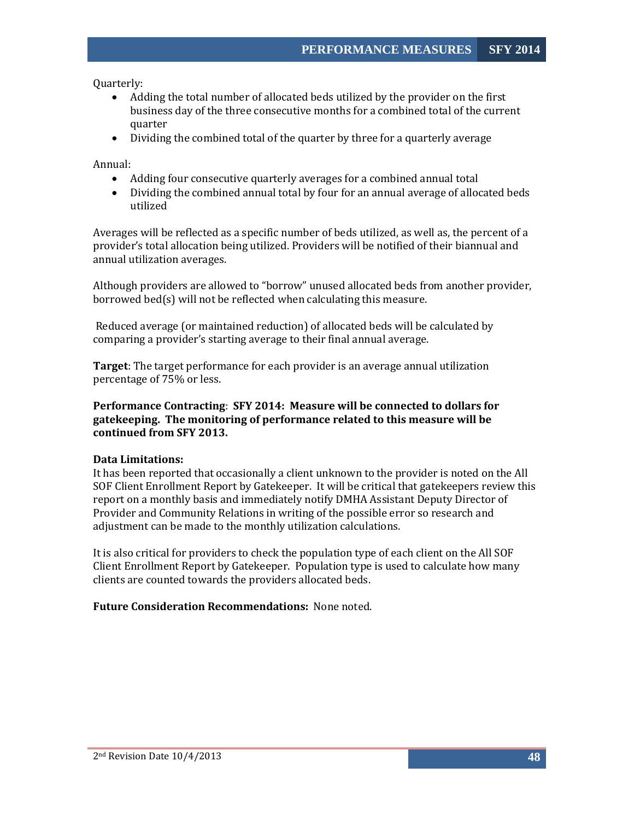Quarterly:

- Adding the total number of allocated beds utilized by the provider on the first business day of the three consecutive months for a combined total of the current quarter
- Dividing the combined total of the quarter by three for a quarterly average

Annual:

- Adding four consecutive quarterly averages for a combined annual total
- Dividing the combined annual total by four for an annual average of allocated beds utilized

Averages will be reflected as a specific number of beds utilized, as well as, the percent of a provider's total allocation being utilized. Providers will be notified of their biannual and annual utilization averages.

Although providers are allowed to "borrow" unused allocated beds from another provider, borrowed bed(s) will not be reflected when calculating this measure.

Reduced average (or maintained reduction) of allocated beds will be calculated by comparing a provider's starting average to their final annual average.

**Target**: The target performance for each provider is an average annual utilization percentage of 75% or less.

#### **Performance Contracting**: **SFY 2014: Measure will be connected to dollars for gatekeeping. The monitoring of performance related to this measure will be continued from SFY 2013.**

#### **Data Limitations:**

It has been reported that occasionally a client unknown to the provider is noted on the All SOF Client Enrollment Report by Gatekeeper. It will be critical that gatekeepers review this report on a monthly basis and immediately notify DMHA Assistant Deputy Director of Provider and Community Relations in writing of the possible error so research and adjustment can be made to the monthly utilization calculations.

It is also critical for providers to check the population type of each client on the All SOF Client Enrollment Report by Gatekeeper. Population type is used to calculate how many clients are counted towards the providers allocated beds.

#### **Future Consideration Recommendations:** None noted.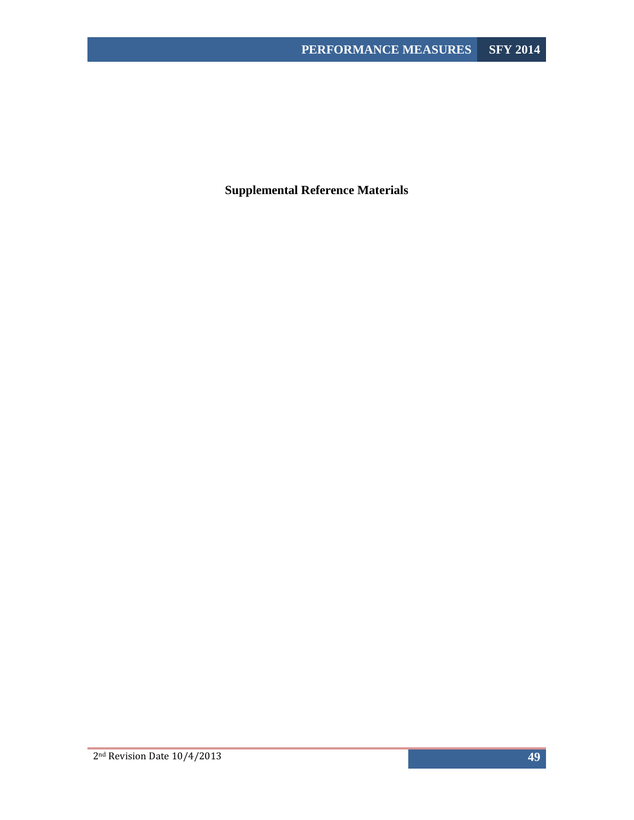<span id="page-49-0"></span>**Supplemental Reference Materials**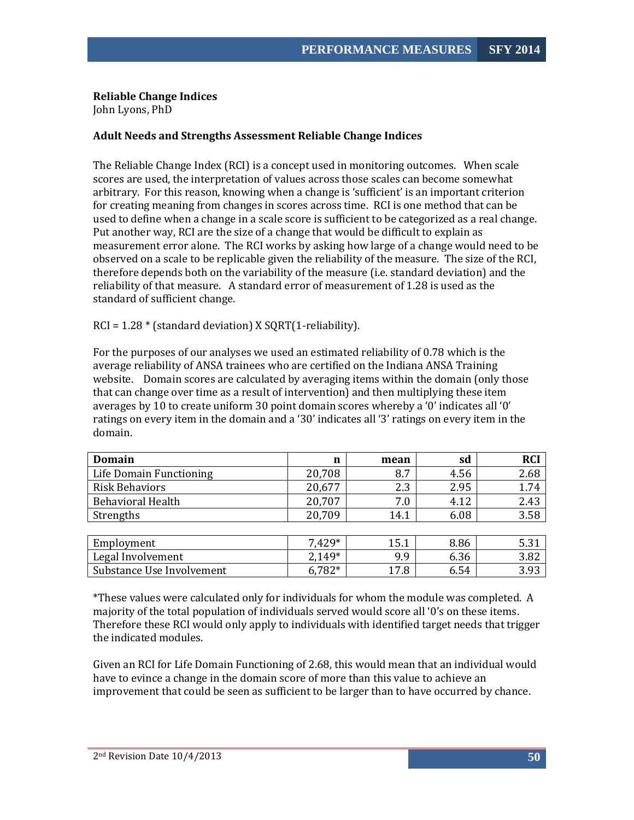## **Reliable Change Indices**

<span id="page-50-0"></span>John Lyons, PhD

## **Adult Needs and Strengths Assessment Reliable Change Indices**

The Reliable Change Index (RCI) is a concept used in monitoring outcomes. When scale scores are used, the interpretation of values across those scales can become somewhat arbitrary. For this reason, knowing when a change is 'sufficient' is an important criterion for creating meaning from changes in scores across time. RCI is one method that can be used to define when a change in a scale score is sufficient to be categorized as a real change. Put another way, RCI are the size of a change that would be difficult to explain as measurement error alone. The RCI works by asking how large of a change would need to be observed on a scale to be replicable given the reliability of the measure. The size of the RCI, therefore depends both on the variability of the measure (i.e. standard deviation) and the reliability of that measure. A standard error of measurement of 1.28 is used as the standard of sufficient change.

 $RCI = 1.28 * (standard deviation) X SORT(1-reliability).$ 

For the purposes of our analyses we used an estimated reliability of 0.78 which is the average reliability of ANSA trainees who are certified on the Indiana ANSA Training website. Domain scores are calculated by averaging items within the domain (only those that can change over time as a result of intervention) and then multiplying these item averages by 10 to create uniform 30 point domain scores whereby a '0' indicates all '0' ratings on every item in the domain and a '30' indicates all '3' ratings on every item in the domain.

| Domain                    | n      | mean | sd   | <b>RCI</b> |
|---------------------------|--------|------|------|------------|
| Life Domain Functioning   | 20,708 | 8.7  | 4.56 | 2.68       |
| <b>Risk Behaviors</b>     | 20,677 | 2.3  | 2.95 | 1.74       |
| <b>Behavioral Health</b>  | 20,707 | 7.0  | 4.12 | 2.43       |
| Strengths                 | 20,709 | 14.1 | 6.08 | 3.58       |
|                           |        |      |      |            |
| Employment                | 7.429* | 15.1 | 8.86 | 5.31       |
| Legal Involvement         | 2,149* | 9.9  | 6.36 | 3.82       |
| Substance Use Involvement | 6,782* | 17.8 | 6.54 | 3.93       |

\*These values were calculated only for individuals for whom the module was completed. A majority of the total population of individuals served would score all '0's on these items. Therefore these RCI would only apply to individuals with identified target needs that trigger the indicated modules.

Given an RCI for Life Domain Functioning of 2.68, this would mean that an individual would have to evince a change in the domain score of more than this value to achieve an improvement that could be seen as sufficient to be larger than to have occurred by chance.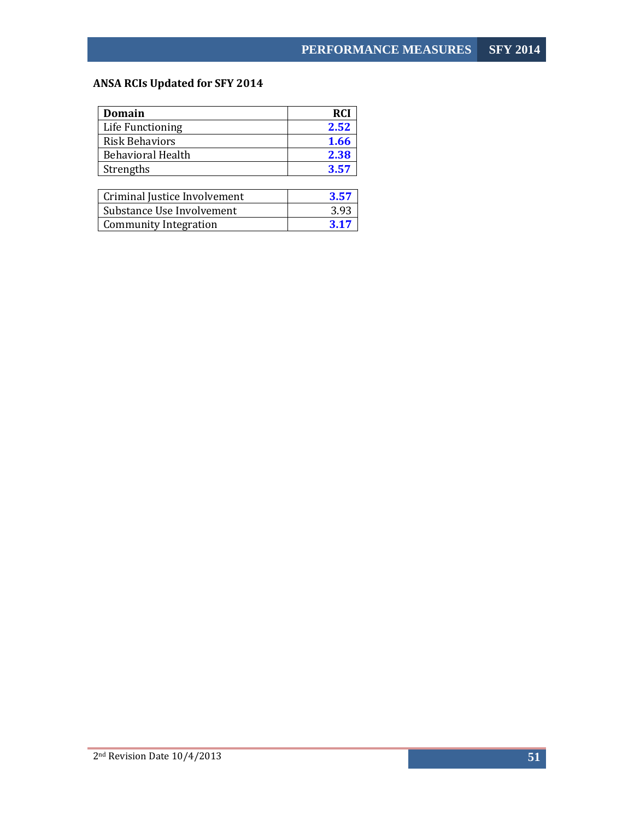# <span id="page-51-0"></span>**ANSA RCIs Updated for SFY 2014**

| Domain                   | <b>RCI</b> |
|--------------------------|------------|
| Life Functioning         | 2.52       |
| <b>Risk Behaviors</b>    | 1.66       |
| <b>Behavioral Health</b> | 2.38       |
| Strengths                | 3.57       |
|                          |            |
|                          |            |

| Criminal Justice Involvement | 3.57 |
|------------------------------|------|
| Substance Use Involvement    | 3.93 |
| Community Integration        | 3.17 |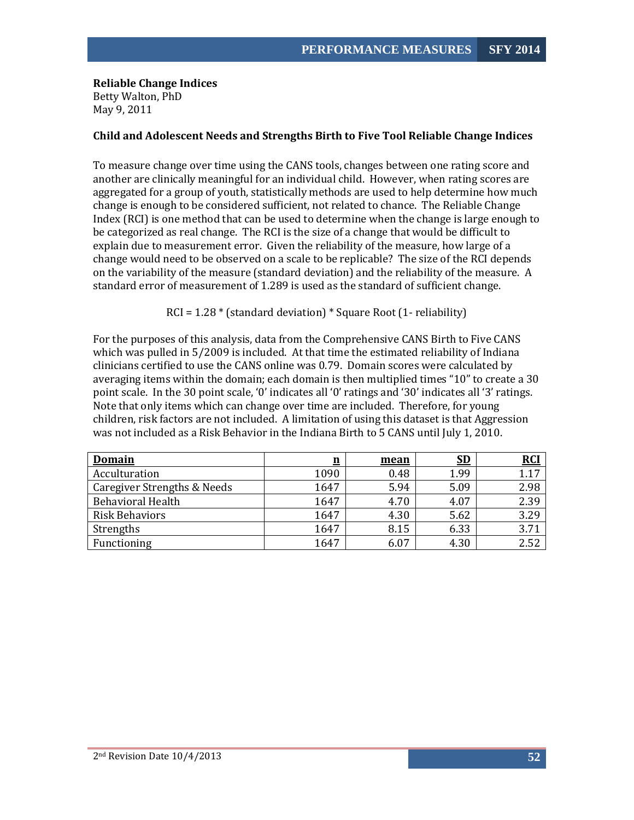**Reliable Change Indices** Betty Walton, PhD May 9, 2011

## <span id="page-52-0"></span>**Child and Adolescent Needs and Strengths Birth to Five Tool Reliable Change Indices**

To measure change over time using the CANS tools, changes between one rating score and another are clinically meaningful for an individual child. However, when rating scores are aggregated for a group of youth, statistically methods are used to help determine how much change is enough to be considered sufficient, not related to chance. The Reliable Change Index (RCI) is one method that can be used to determine when the change is large enough to be categorized as real change. The RCI is the size of a change that would be difficult to explain due to measurement error. Given the reliability of the measure, how large of a change would need to be observed on a scale to be replicable? The size of the RCI depends on the variability of the measure (standard deviation) and the reliability of the measure. A standard error of measurement of 1.289 is used as the standard of sufficient change.

#### RCI = 1.28 \* (standard deviation) \* Square Root (1- reliability)

For the purposes of this analysis, data from the Comprehensive CANS Birth to Five CANS which was pulled in 5/2009 is included. At that time the estimated reliability of Indiana clinicians certified to use the CANS online was 0.79. Domain scores were calculated by averaging items within the domain; each domain is then multiplied times "10" to create a 30 point scale. In the 30 point scale, '0' indicates all '0' ratings and '30' indicates all '3' ratings. Note that only items which can change over time are included. Therefore, for young children, risk factors are not included. A limitation of using this dataset is that Aggression was not included as a Risk Behavior in the Indiana Birth to 5 CANS until July 1, 2010.

| <b>Domain</b>               | $\underline{\mathbf{n}}$ | mean | <u>SD</u> | <b>RCI</b> |
|-----------------------------|--------------------------|------|-----------|------------|
| Acculturation               | 1090                     | 0.48 | 1.99      | 1.17       |
| Caregiver Strengths & Needs | 1647                     | 5.94 | 5.09      | 2.98       |
| <b>Behavioral Health</b>    | 1647                     | 4.70 | 4.07      | 2.39       |
| <b>Risk Behaviors</b>       | 1647                     | 4.30 | 5.62      | 3.29       |
| Strengths                   | 1647                     | 8.15 | 6.33      | 3.71       |
| Functioning                 | 1647                     | 6.07 | 4.30      | 2.52       |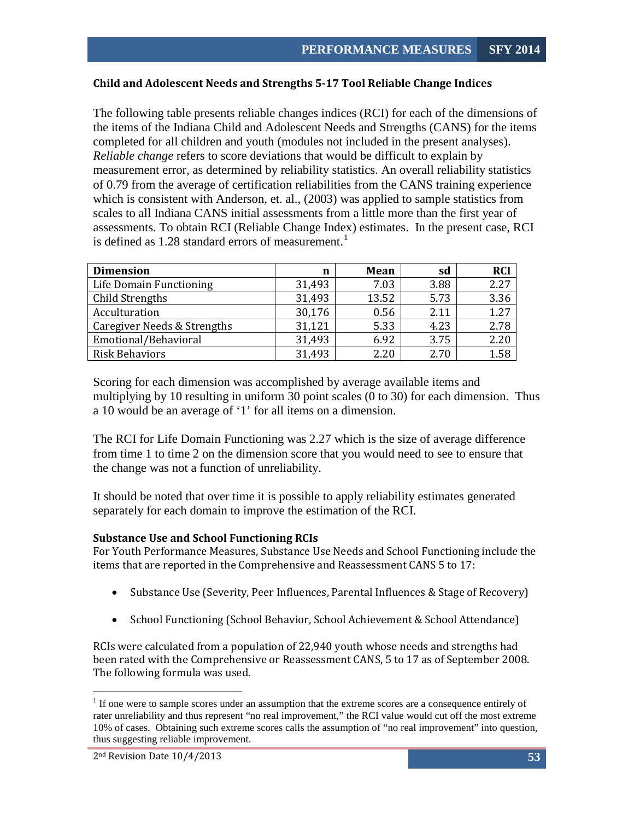## <span id="page-53-0"></span>**Child and Adolescent Needs and Strengths 5-17 Tool Reliable Change Indices**

The following table presents reliable changes indices (RCI) for each of the dimensions of the items of the Indiana Child and Adolescent Needs and Strengths (CANS) for the items completed for all children and youth (modules not included in the present analyses). *Reliable change* refers to score deviations that would be difficult to explain by measurement error, as determined by reliability statistics. An overall reliability statistics of 0.79 from the average of certification reliabilities from the CANS training experience which is consistent with Anderson, et. al., (2003) was applied to sample statistics from scales to all Indiana CANS initial assessments from a little more than the first year of assessments. To obtain RCI (Reliable Change Index) estimates. In the present case, RCI is defined as  $1.28$  $1.28$  standard errors of measurement.<sup>1</sup>

| <b>Dimension</b>            | n      | Mean  | sd   | <b>RCI</b> |
|-----------------------------|--------|-------|------|------------|
| Life Domain Functioning     | 31,493 | 7.03  | 3.88 | 2.27       |
| <b>Child Strengths</b>      | 31,493 | 13.52 | 5.73 | 3.36       |
| Acculturation               | 30,176 | 0.56  | 2.11 | 1.27       |
| Caregiver Needs & Strengths | 31,121 | 5.33  | 4.23 | 2.78       |
| Emotional/Behavioral        | 31,493 | 6.92  | 3.75 | 2.20       |
| <b>Risk Behaviors</b>       | 31,493 | 2.20  | 2.70 | 1.58       |

Scoring for each dimension was accomplished by average available items and multiplying by 10 resulting in uniform 30 point scales (0 to 30) for each dimension. Thus a 10 would be an average of '1' for all items on a dimension.

The RCI for Life Domain Functioning was 2.27 which is the size of average difference from time 1 to time 2 on the dimension score that you would need to see to ensure that the change was not a function of unreliability.

It should be noted that over time it is possible to apply reliability estimates generated separately for each domain to improve the estimation of the RCI.

#### **Substance Use and School Functioning RCIs**

For Youth Performance Measures, Substance Use Needs and School Functioning include the items that are reported in the Comprehensive and Reassessment CANS 5 to 17:

- Substance Use (Severity, Peer Influences, Parental Influences & Stage of Recovery)
- School Functioning (School Behavior, School Achievement & School Attendance)

RCIs were calculated from a population of 22,940 youth whose needs and strengths had been rated with the Comprehensive or Reassessment CANS, 5 to 17 as of September 2008. The following formula was used.

<span id="page-53-1"></span><sup>&</sup>lt;sup>1</sup> If one were to sample scores under an assumption that the extreme scores are a consequence entirely of rater unreliability and thus represent "no real improvement," the RCI value would cut off the most extreme 10% of cases. Obtaining such extreme scores calls the assumption of "no real improvement" into question, thus suggesting reliable improvement.

<sup>2</sup>nd Revision Date 10/4/2013 **53**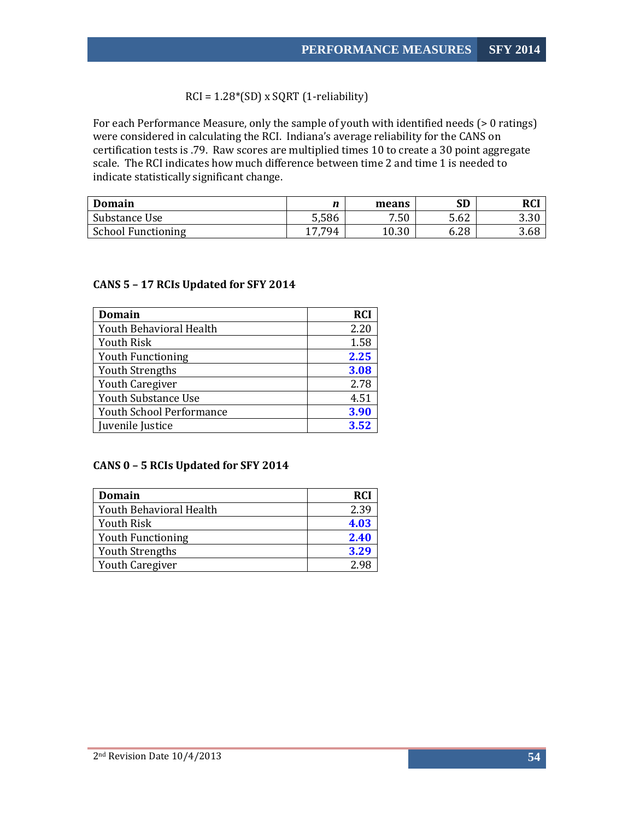RCI = 1.28\*(SD) x SQRT (1-reliability)

For each Performance Measure, only the sample of youth with identified needs (> 0 ratings) were considered in calculating the RCI. Indiana's average reliability for the CANS on certification tests is .79. Raw scores are multiplied times 10 to create a 30 point aggregate scale. The RCI indicates how much difference between time 2 and time 1 is needed to indicate statistically significant change.

| Domain                    | n      | means | <b>SD</b> | <b>RCI</b> |
|---------------------------|--------|-------|-----------|------------|
| Substance Use             | 5,586  | 7.50  | 5.62      | 3.30       |
| <b>School Functioning</b> | 17,794 | 10.30 | 6.28      | 3.68       |

## <span id="page-54-0"></span>**CANS 5 – 17 RCIs Updated for SFY 2014**

| Domain                          | <b>RCI</b> |
|---------------------------------|------------|
| Youth Behavioral Health         | 2.20       |
| <b>Youth Risk</b>               | 1.58       |
| <b>Youth Functioning</b>        | 2.25       |
| <b>Youth Strengths</b>          | 3.08       |
| Youth Caregiver                 | 2.78       |
| <b>Youth Substance Use</b>      | 4.51       |
| <b>Youth School Performance</b> | 3.90       |
| Juvenile Justice                | 3.52       |

#### <span id="page-54-1"></span>**CANS 0 – 5 RCIs Updated for SFY 2014**

| Domain                   | <b>RCI</b> |
|--------------------------|------------|
| Youth Behavioral Health  | 2.39       |
| <b>Youth Risk</b>        | 4.03       |
| <b>Youth Functioning</b> | 2.40       |
| <b>Youth Strengths</b>   | 3.29       |
| <b>Youth Caregiver</b>   | 2 98       |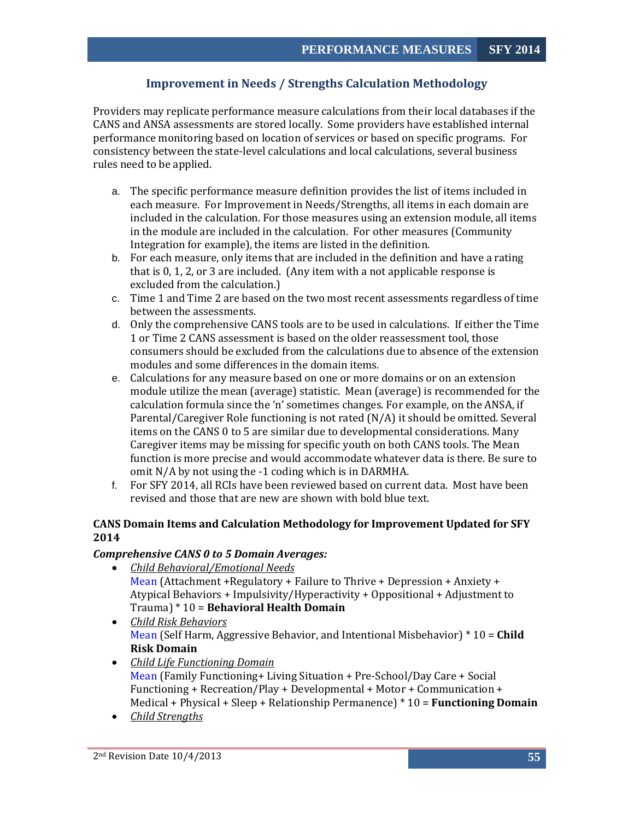# **Improvement in Needs / Strengths Calculation Methodology**

<span id="page-55-0"></span>Providers may replicate performance measure calculations from their local databases if the CANS and ANSA assessments are stored locally. Some providers have established internal performance monitoring based on location of services or based on specific programs. For consistency between the state-level calculations and local calculations, several business rules need to be applied.

- a. The specific performance measure definition provides the list of items included in each measure. For Improvement in Needs/Strengths, all items in each domain are included in the calculation. For those measures using an extension module, all items in the module are included in the calculation. For other measures (Community Integration for example), the items are listed in the definition.
- b. For each measure, only items that are included in the definition and have a rating that is 0, 1, 2, or 3 are included. (Any item with a not applicable response is excluded from the calculation.)
- c. Time 1 and Time 2 are based on the two most recent assessments regardless of time between the assessments.
- d. Only the comprehensive CANS tools are to be used in calculations. If either the Time 1 or Time 2 CANS assessment is based on the older reassessment tool, those consumers should be excluded from the calculations due to absence of the extension modules and some differences in the domain items.
- e. Calculations for any measure based on one or more domains or on an extension module utilize the mean (average) statistic. Mean (average) is recommended for the calculation formula since the 'n' sometimes changes. For example, on the ANSA, if Parental/Caregiver Role functioning is not rated (N/A) it should be omitted. Several items on the CANS 0 to 5 are similar due to developmental considerations. Many Caregiver items may be missing for specific youth on both CANS tools. The Mean function is more precise and would accommodate whatever data is there. Be sure to omit N/A by not using the -1 coding which is in DARMHA.
- f. For SFY 2014, all RCIs have been reviewed based on current data. Most have been revised and those that are new are shown with bold blue text.

# <span id="page-55-1"></span>**CANS Domain Items and Calculation Methodology for Improvement Updated for SFY 2014**

# *Comprehensive CANS 0 to 5 Domain Averages:*

- Mean (Attachment +Regulatory + Failure to Thrive + Depression + Anxiety + Atypical Behaviors + Impulsivity/Hyperactivity + Oppositional + Adjustment to Trauma) \* 10 = **Behavioral Health Domain** *Child Behavioral/Emotional Needs*
- *Child Risk Behaviors* Mean (Self Harm, Aggressive Behavior, and Intentional Misbehavior) \* 10 = **Child Risk Domain**
- *Child Life Functioning Domain*  Mean (Family Functioning+ Living Situation + Pre-School/Day Care + Social Functioning + Recreation/Play + Developmental + Motor + Communication + Medical + Physical + Sleep + Relationship Permanence) \* 10 = **Functioning Domain**
- *Child Strengths*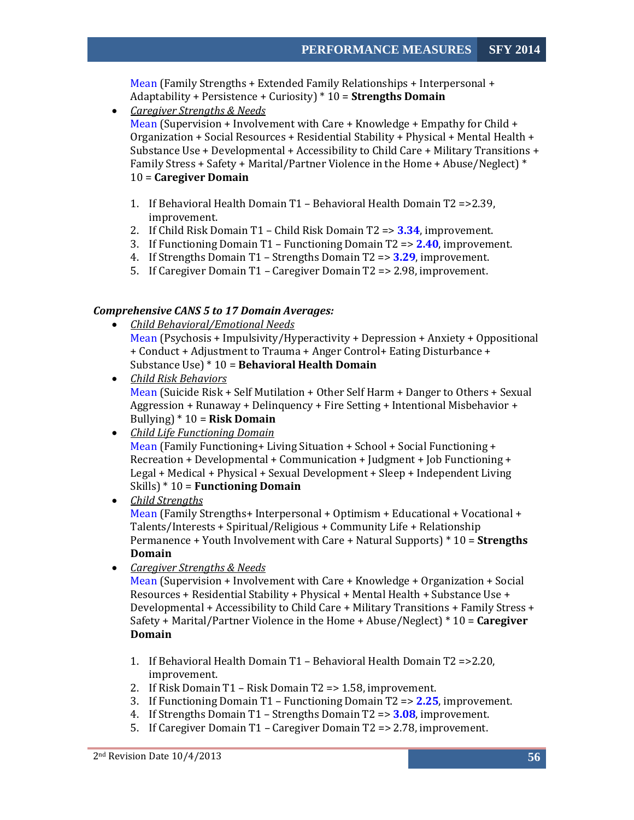Mean (Family Strengths + Extended Family Relationships + Interpersonal + Adaptability + Persistence + Curiosity) \* 10 = **Strengths Domain**

• *Caregiver Strengths & Needs* 

Mean (Supervision + Involvement with Care + Knowledge + Empathy for Child + Organization + Social Resources + Residential Stability + Physical + Mental Health + Substance Use + Developmental + Accessibility to Child Care + Military Transitions + Family Stress + Safety + Marital/Partner Violence in the Home + Abuse/Neglect) \* 10 = **Caregiver Domain**

- 1. If Behavioral Health Domain T1 Behavioral Health Domain T2 =>2.39, improvement.
- 2. If Child Risk Domain T1 Child Risk Domain T2 => **3.34**, improvement.
- 3. If Functioning Domain T1 Functioning Domain T2 => **2.40**, improvement.
- 4. If Strengths Domain T1 Strengths Domain T2 => **3.29**, improvement.
- 5. If Caregiver Domain T1 Caregiver Domain T2 => 2.98, improvement.

#### *Comprehensive CANS 5 to 17 Domain Averages:*

- Mean (Psychosis + Impulsivity/Hyperactivity + Depression + Anxiety + Oppositional + Conduct + Adjustment to Trauma + Anger Control+ Eating Disturbance + Substance Use) \* 10 = **Behavioral Health Domain** *Child Behavioral/Emotional Needs*
- *Child Risk Behaviors* Mean (Suicide Risk + Self Mutilation + Other Self Harm + Danger to Others + Sexual Aggression + Runaway + Delinquency + Fire Setting + Intentional Misbehavior + Bullying) \* 10 = **Risk Domain**
- *Child Life Functioning Domain*

Mean (Family Functioning+ Living Situation + School + Social Functioning + Recreation + Developmental + Communication + Judgment + Job Functioning + Legal + Medical + Physical + Sexual Development + Sleep + Independent Living Skills) \* 10 = **Functioning Domain**

• *Child Strengths*

Mean (Family Strengths+ Interpersonal + Optimism + Educational + Vocational + Talents/Interests + Spiritual/Religious + Community Life + Relationship Permanence + Youth Involvement with Care + Natural Supports) \* 10 = **Strengths Domain**

• *Caregiver Strengths & Needs* 

Mean (Supervision + Involvement with Care + Knowledge + Organization + Social Resources + Residential Stability + Physical + Mental Health + Substance Use + Developmental + Accessibility to Child Care + Military Transitions + Family Stress + Safety + Marital/Partner Violence in the Home + Abuse/Neglect) \* 10 = **Caregiver Domain**

- 1. If Behavioral Health Domain T1 Behavioral Health Domain T2 =>2.20, improvement.
- 2. If Risk Domain T1 Risk Domain T2 => 1.58, improvement.
- 3. If Functioning Domain T1 Functioning Domain T2 => **2.25**, improvement.
- 4. If Strengths Domain T1 Strengths Domain T2 => **3.08**, improvement.
- 5. If Caregiver Domain T1 Caregiver Domain T2 => 2.78, improvement.